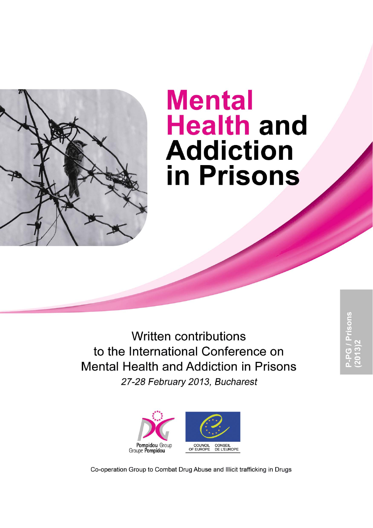

# **Mental Health and Addiction** in Prisons

**Written contributions** to the International Conference on **Mental Health and Addiction in Prisons** 27-28 February 2013, Bucharest



Co-operation Group to Combat Drug Abuse and Illicit trafficking in Drugs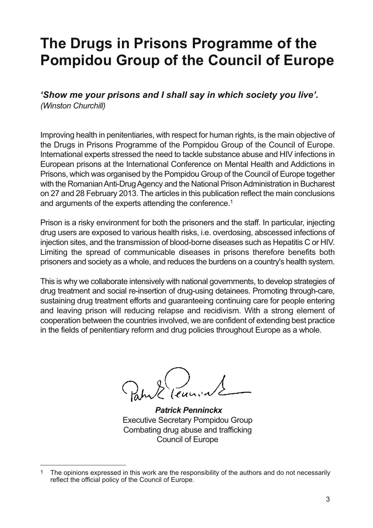# **The Drugs in Prisons Programme of the Pompidou Group of the Council of Europe**

*'Show me your prisons and I shall say in which society you live'. (Winston Churchill)*

Improving health in penitentiaries, with respect for human rights, is the main objective of the Drugs in Prisons Programme of the Pompidou Group of the Council of Europe. International experts stressed the need to tackle substance abuse and HIV infections in European prisons at the International Conference on Mental Health and Addictions in Prisons, which was organised by the Pompidou Group of the Council of Europe together with the Romanian Anti-Drug Agency and the National Prison Administration in Bucharest on 27 and 28 February 2013. The articles in this publication reflect the main conclusions and arguments of the experts attending the conference.<sup>1</sup>

Prison is a risky environment for both the prisoners and the staff. In particular, injecting drug users are exposed to various health risks, i.e. overdosing, abscessed infections of injection sites, and the transmission of blood-borne diseases such as Hepatitis C or HIV. Limiting the spread of communicable diseases in prisons therefore benefits both prisoners and society as a whole, and reduces the burdens on a country's health system.

This is why we collaborate intensively with national governments, to develop strategies of drug treatment and social re-insertion of drug-using detainees. Promoting through-care, sustaining drug treatment efforts and guaranteeing continuing care for people entering and leaving prison will reducing relapse and recidivism. With a strong element of cooperation between the countries involved, we are confident of extending best practice in the fields of penitentiary reform and drug policies throughout Europe as a whole.

*Patrick Penninckx* Executive Secretary Pompidou Group Combating drug abuse and trafficking Council of Europe

<sup>1</sup> The opinions expressed in this work are the responsibility of the authors and do not necessarily reflect the official policy of the Council of Europe.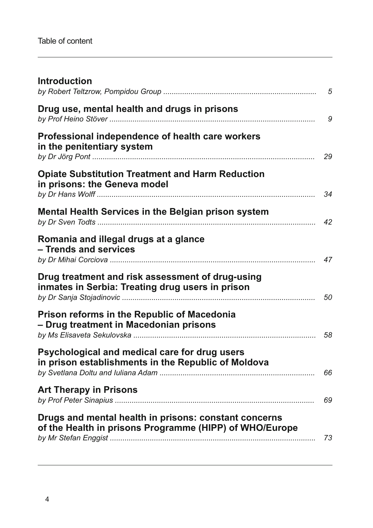| <b>Introduction</b>                                                                                              | 5  |
|------------------------------------------------------------------------------------------------------------------|----|
| Drug use, mental health and drugs in prisons                                                                     | 9  |
| Professional independence of health care workers<br>in the penitentiary system                                   | 29 |
| <b>Opiate Substitution Treatment and Harm Reduction</b><br>in prisons: the Geneva model                          | 34 |
| Mental Health Services in the Belgian prison system                                                              | 42 |
| Romania and illegal drugs at a glance<br>- Trends and services                                                   | 47 |
| Drug treatment and risk assessment of drug-using<br>inmates in Serbia: Treating drug users in prison             | 50 |
| Prison reforms in the Republic of Macedonia<br>- Drug treatment in Macedonian prisons                            | 58 |
| Psychological and medical care for drug users<br>in prison establishments in the Republic of Moldova             | 66 |
| <b>Art Therapy in Prisons</b>                                                                                    | 69 |
| Drugs and mental health in prisons: constant concerns<br>of the Health in prisons Programme (HIPP) of WHO/Europe | 73 |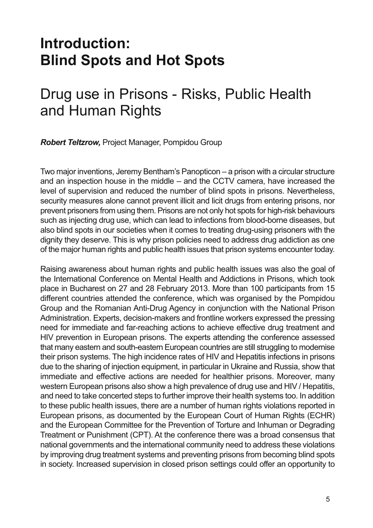# **Introduction: Blind Spots and Hot Spots**

# Drug use in Prisons - Risks, Public Health and Human Rights

*Robert Teltzrow,* Project Manager, Pompidou Group

Two major inventions, Jeremy Bentham's Panopticon – a prison with a circular structure and an inspection house in the middle – and the CCTV camera, have increased the level of supervision and reduced the number of blind spots in prisons. Nevertheless, security measures alone cannot prevent illicit and licit drugs from entering prisons, nor prevent prisoners from using them. Prisons are not only hot spots for high-risk behaviours such as injecting drug use, which can lead to infections from blood-borne diseases, but also blind spots in our societies when it comes to treating drug-using prisoners with the dignity they deserve. This is why prison policies need to address drug addiction as one of the major human rights and public health issues that prison systems encounter today.

Raising awareness about human rights and public health issues was also the goal of the International Conference on Mental Health and Addictions in Prisons, which took place in Bucharest on 27 and 28 February 2013. More than 100 participants from 15 different countries attended the conference, which was organised by the Pompidou Group and the Romanian Anti-Drug Agency in conjunction with the National Prison Administration. Experts, decision-makers and frontline workers expressed the pressing need for immediate and far-reaching actions to achieve effective drug treatment and HIV prevention in European prisons. The experts attending the conference assessed that many eastern and south-eastern European countries are still struggling to modernise their prison systems. The high incidence rates of HIV and Hepatitis infections in prisons due to the sharing of injection equipment, in particular in Ukraine and Russia, show that immediate and effective actions are needed for healthier prisons. Moreover, many western European prisons also show a high prevalence of drug use and HIV / Hepatitis, and need to take concerted steps to further improve their health systems too. In addition to these public health issues, there are a number of human rights violations reported in European prisons, as documented by the European Court of Human Rights (ECHR) and the European Committee for the Prevention of Torture and Inhuman or Degrading Treatment or Punishment (CPT). At the conference there was a broad consensus that national governments and the international community need to address these violations by improving drug treatment systems and preventing prisons from becoming blind spots in society. Increased supervision in closed prison settings could offer an opportunity to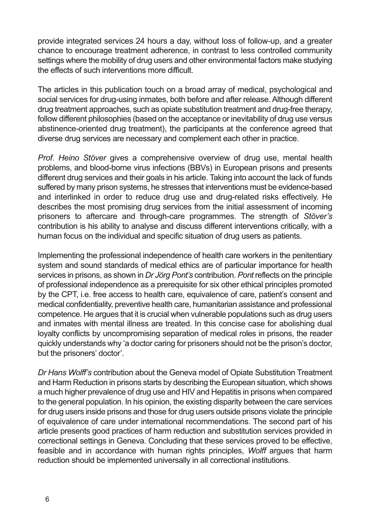provide integrated services 24 hours a day, without loss of follow-up, and a greater chance to encourage treatment adherence, in contrast to less controlled community settings where the mobility of drug users and other environmental factors make studying the effects of such interventions more difficult.

The articles in this publication touch on a broad array of medical, psychological and social services for drug-using inmates, both before and after release. Although different drug treatment approaches, such as opiate substitution treatment and drug-free therapy, follow different philosophies (based on the acceptance or inevitability of drug use versus abstinence-oriented drug treatment), the participants at the conference agreed that diverse drug services are necessary and complement each other in practice.

*Prof. Heino Stöver* gives a comprehensive overview of drug use, mental health problems, and blood-borne virus infections (BBVs) in European prisons and presents different drug services and their goals in his article. Taking into account the lack of funds suffered by many prison systems, he stresses that interventions must be evidence-based and interlinked in order to reduce drug use and drug-related risks effectively. He describes the most promising drug services from the initial assessment of incoming prisoners to aftercare and through-care programmes. The strength of *Stöver's* contribution is his ability to analyse and discuss different interventions critically, with a human focus on the individual and specific situation of drug users as patients.

Implementing the professional independence of health care workers in the penitentiary system and sound standards of medical ethics are of particular importance for health services in prisons, as shown in *Dr Jörg Pont's* contribution. *Pont* reflects on the principle of professional independence as a prerequisite for six other ethical principles promoted by the CPT, i.e. free access to health care, equivalence of care, patient's consent and medical confidentiality, preventive health care, humanitarian assistance and professional competence. He argues that it is crucial when vulnerable populations such as drug users and inmates with mental illness are treated. In this concise case for abolishing dual loyalty conflicts by uncompromising separation of medical roles in prisons, the reader quickly understands why 'a doctor caring for prisoners should not be the prison's doctor, but the prisoners' doctor'.

*Dr Hans Wolff's* contribution about the Geneva model of Opiate Substitution Treatment and Harm Reduction in prisons starts by describing the European situation, which shows a much higher prevalence of drug use and HIV and Hepatitis in prisons when compared to the general population. In his opinion, the existing disparity between the care services for drug users inside prisons and those for drug users outside prisons violate the principle of equivalence of care under international recommendations. The second part of his article presents good practices of harm reduction and substitution services provided in correctional settings in Geneva. Concluding that these services proved to be effective, feasible and in accordance with human rights principles, *Wolff* argues that harm reduction should be implemented universally in all correctional institutions.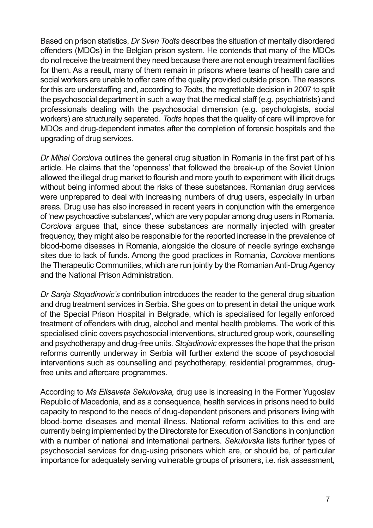Based on prison statistics, *Dr Sven Todts* describes the situation of mentally disordered offenders (MDOs) in the Belgian prison system. He contends that many of the MDOs do not receive the treatment they need because there are not enough treatment facilities for them. As a result, many of them remain in prisons where teams of health care and social workers are unable to offer care of the quality provided outside prison. The reasons for this are understaffing and, according to *Todts*, the regrettable decision in 2007 to split the psychosocial department in such a way that the medical staff (e.g. psychiatrists) and professionals dealing with the psychosocial dimension (e.g. psychologists, social workers) are structurally separated. *Todts* hopes that the quality of care will improve for MDOs and drug-dependent inmates after the completion of forensic hospitals and the upgrading of drug services.

*Dr Mihai Corciova* outlines the general drug situation in Romania in the first part of his article. He claims that the 'openness' that followed the break-up of the Soviet Union allowed the illegal drug market to flourish and more youth to experiment with illicit drugs without being informed about the risks of these substances. Romanian drug services were unprepared to deal with increasing numbers of drug users, especially in urban areas. Drug use has also increased in recent years in conjunction with the emergence of 'new psychoactive substances', which are very popular among drug users in Romania. *Corciova* argues that, since these substances are normally injected with greater frequency, they might also be responsible for the reported increase in the prevalence of blood-borne diseases in Romania, alongside the closure of needle syringe exchange sites due to lack of funds. Among the good practices in Romania, *Corciova* mentions the Therapeutic Communities, which are run jointly by the Romanian Anti-Drug Agency and the National Prison Administration.

*Dr Sanja Stojadinovic's* contribution introduces the reader to the general drug situation and drug treatment services in Serbia. She goes on to present in detail the unique work of the Special Prison Hospital in Belgrade, which is specialised for legally enforced treatment of offenders with drug, alcohol and mental health problems. The work of this specialised clinic covers psychosocial interventions, structured group work, counselling and psychotherapy and drug-free units. *Stojadinovic* expresses the hope that the prison reforms currently underway in Serbia will further extend the scope of psychosocial interventions such as counselling and psychotherapy, residential programmes, drugfree units and aftercare programmes.

According to *Ms Elisaveta Sekulovska,* drug use is increasing in the Former Yugoslav Republic of Macedonia, and as a consequence, health services in prisons need to build capacity to respond to the needs of drug-dependent prisoners and prisoners living with blood-borne diseases and mental illness. National reform activities to this end are currently being implemented by the Directorate for Execution of Sanctions in conjunction with a number of national and international partners. *Sekulovska* lists further types of psychosocial services for drug-using prisoners which are, or should be, of particular importance for adequately serving vulnerable groups of prisoners, i.e. risk assessment,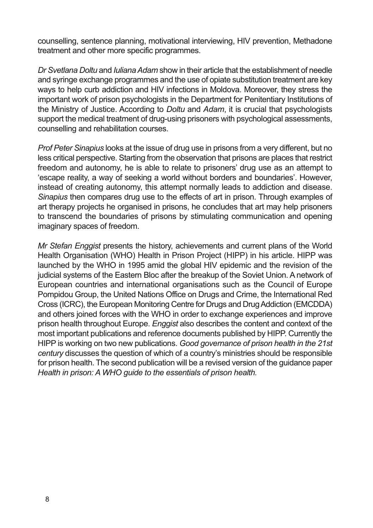counselling, sentence planning, motivational interviewing, HIV prevention, Methadone treatment and other more specific programmes.

*Dr Svetlana Doltu* and *Iuliana Adam* show in their article that the establishment of needle and syringe exchange programmes and the use of opiate substitution treatment are key ways to help curb addiction and HIV infections in Moldova. Moreover, they stress the important work of prison psychologists in the Department for Penitentiary Institutions of the Ministry of Justice. According to *Doltu* and *Adam*, it is crucial that psychologists support the medical treatment of drug-using prisoners with psychological assessments, counselling and rehabilitation courses.

*Prof Peter Sinapius* looks at the issue of drug use in prisons from a very different, but no less critical perspective. Starting from the observation that prisons are places that restrict freedom and autonomy, he is able to relate to prisoners' drug use as an attempt to 'escape reality, a way of seeking a world without borders and boundaries'. However, instead of creating autonomy, this attempt normally leads to addiction and disease. *Sinapius* then compares drug use to the effects of art in prison. Through examples of art therapy projects he organised in prisons, he concludes that art may help prisoners to transcend the boundaries of prisons by stimulating communication and opening imaginary spaces of freedom.

*Mr Stefan Enggist* presents the history, achievements and current plans of the World Health Organisation (WHO) Health in Prison Project (HIPP) in his article. HIPP was launched by the WHO in 1995 amid the global HIV epidemic and the revision of the judicial systems of the Eastern Bloc after the breakup of the Soviet Union. A network of European countries and international organisations such as the Council of Europe Pompidou Group, the United Nations Office on Drugs and Crime, the International Red Cross (ICRC), the European Monitoring Centre for Drugs and Drug Addiction (EMCDDA) and others joined forces with the WHO in order to exchange experiences and improve prison health throughout Europe. *Enggist* also describes the content and context of the most important publications and reference documents published by HIPP. Currently the HIPP is working on two new publications. *Good governance of prison health in the 21st century* discusses the question of which of a country's ministries should be responsible for prison health. The second publication will be a revised version of the guidance paper *Health in prison: A WHO guide to the essentials of prison health.*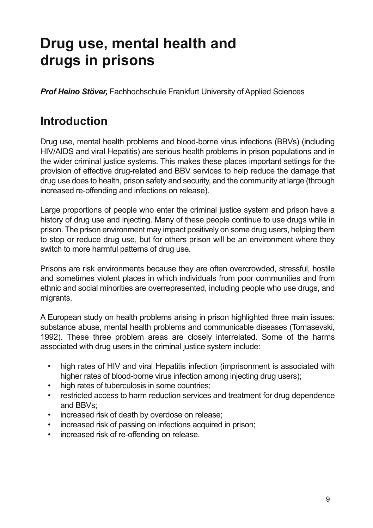# **Drug use, mental health and drugs in prisons**

**Prof Heino Stöver, Fachhochschule Frankfurt University of Applied Sciences** 

# **Introduction**

Drug use, mental health problems and blood-borne virus infections (BBVs) (including HIV/AIDS and viral Hepatitis) are serious health problems in prison populations and in the wider criminal justice systems. This makes these places important settings for the provision of effective drug-related and BBV services to help reduce the damage that drug use does to health, prison safety and security, and the community at large (through increased re-offending and infections on release).

Large proportions of people who enter the criminal justice system and prison have a history of drug use and injecting. Many of these people continue to use drugs while in prison. The prison environment may impact positively on some drug users, helping them to stop or reduce drug use, but for others prison will be an environment where they switch to more harmful patterns of drug use.

Prisons are risk environments because they are often overcrowded, stressful, hostile and sometimes violent places in which individuals from poor communities and from ethnic and social minorities are overrepresented, including people who use drugs, and migrants.

A European study on health problems arising in prison highlighted three main issues: substance abuse, mental health problems and communicable diseases (Tomasevski, 1992). These three problem areas are closely interrelated. Some of the harms associated with drug users in the criminal justice system include:

- high rates of HIV and viral Hepatitis infection (imprisonment is associated with higher rates of blood-borne virus infection among injecting drug users);
- high rates of tuberculosis in some countries;
- restricted access to harm reduction services and treatment for drug dependence and BBVs;
- increased risk of death by overdose on release;
- increased risk of passing on infections acquired in prison;
- increased risk of re-offending on release.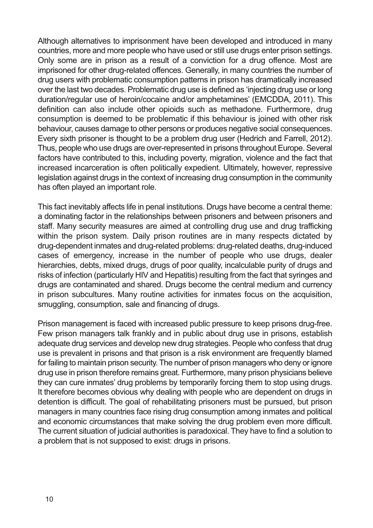Although alternatives to imprisonment have been developed and introduced in many countries, more and more people who have used or still use drugs enter prison settings. Only some are in prison as a result of a conviction for a drug offence. Most are imprisoned for other drug-related offences. Generally, in many countries the number of drug users with problematic consumption patterns in prison has dramatically increased over the last two decades. Problematic drug use is defined as 'injecting drug use or long duration/regular use of heroin/cocaine and/or amphetamines' (EMCDDA, 2011). This definition can also include other opioids such as methadone. Furthermore, drug consumption is deemed to be problematic if this behaviour is joined with other risk behaviour, causes damage to other persons or produces negative social consequences. Every sixth prisoner is thought to be a problem drug user (Hedrich and Farrell, 2012). Thus, people who use drugs are over-represented in prisons throughout Europe. Several factors have contributed to this, including poverty, migration, violence and the fact that increased incarceration is often politically expedient. Ultimately, however, repressive legislation against drugs in the context of increasing drug consumption in the community has often played an important role.

This fact inevitably affects life in penal institutions. Drugs have become a central theme: a dominating factor in the relationships between prisoners and between prisoners and staff. Many security measures are aimed at controlling drug use and drug trafficking within the prison system. Daily prison routines are in many respects dictated by drug-dependent inmates and drug-related problems: drug-related deaths, drug-induced cases of emergency, increase in the number of people who use drugs, dealer hierarchies, debts, mixed drugs, drugs of poor quality, incalculable purity of drugs and risks of infection (particularly HIV and Hepatitis) resulting from the fact that syringes and drugs are contaminated and shared. Drugs become the central medium and currency in prison subcultures. Many routine activities for inmates focus on the acquisition, smuggling, consumption, sale and financing of drugs.

Prison management is faced with increased public pressure to keep prisons drug-free. Few prison managers talk frankly and in public about drug use in prisons, establish adequate drug services and develop new drug strategies. People who confess that drug use is prevalent in prisons and that prison is a risk environment are frequently blamed for failing to maintain prison security. The number of prison managers who deny or ignore drug use in prison therefore remains great. Furthermore, many prison physicians believe they can cure inmates' drug problems by temporarily forcing them to stop using drugs. It therefore becomes obvious why dealing with people who are dependent on drugs in detention is difficult. The goal of rehabilitating prisoners must be pursued, but prison managers in many countries face rising drug consumption among inmates and political and economic circumstances that make solving the drug problem even more difficult. The current situation of judicial authorities is paradoxical. They have to find a solution to a problem that is not supposed to exist: drugs in prisons.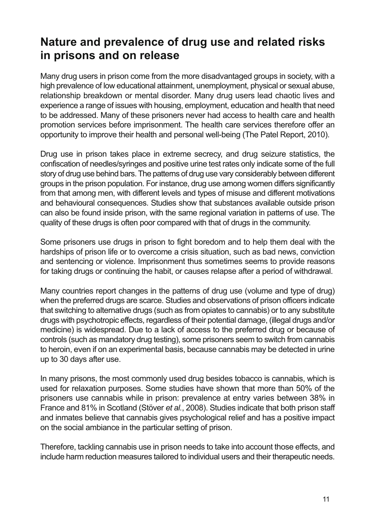# **Nature and prevalence of drug use and related risks in prisons and on release**

Many drug users in prison come from the more disadvantaged groups in society, with a high prevalence of low educational attainment, unemployment, physical or sexual abuse, relationship breakdown or mental disorder. Many drug users lead chaotic lives and experience a range of issues with housing, employment, education and health that need to be addressed. Many of these prisoners never had access to health care and health promotion services before imprisonment. The health care services therefore offer an opportunity to improve their health and personal well-being (The Patel Report, 2010).

Drug use in prison takes place in extreme secrecy, and drug seizure statistics, the confiscation of needles/syringes and positive urine test rates only indicate some of the full story of drug use behind bars. The patterns of drug use vary considerably between different groups in the prison population. For instance, drug use among women differs significantly from that among men, with different levels and types of misuse and different motivations and behavioural consequences. Studies show that substances available outside prison can also be found inside prison, with the same regional variation in patterns of use. The quality of these drugs is often poor compared with that of drugs in the community.

Some prisoners use drugs in prison to fight boredom and to help them deal with the hardships of prison life or to overcome a crisis situation, such as bad news, conviction and sentencing or violence. Imprisonment thus sometimes seems to provide reasons for taking drugs or continuing the habit, or causes relapse after a period of withdrawal.

Many countries report changes in the patterns of drug use (volume and type of drug) when the preferred drugs are scarce. Studies and observations of prison officers indicate that switching to alternative drugs (such as from opiates to cannabis) or to any substitute drugs with psychotropic effects, regardless of their potential damage, (illegal drugs and/or medicine) is widespread. Due to a lack of access to the preferred drug or because of controls (such as mandatory drug testing), some prisoners seem to switch from cannabis to heroin, even if on an experimental basis, because cannabis may be detected in urine up to 30 days after use.

In many prisons, the most commonly used drug besides tobacco is cannabis, which is used for relaxation purposes. Some studies have shown that more than 50% of the prisoners use cannabis while in prison: prevalence at entry varies between 38% in France and 81% in Scotland (Stöver *et al.*, 2008). Studies indicate that both prison staff and inmates believe that cannabis gives psychological relief and has a positive impact on the social ambiance in the particular setting of prison.

Therefore, tackling cannabis use in prison needs to take into account those effects, and include harm reduction measures tailored to individual users and their therapeutic needs.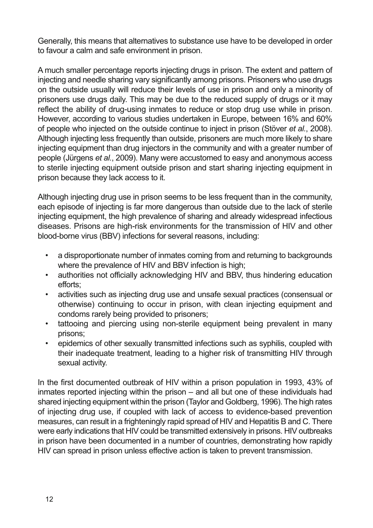Generally, this means that alternatives to substance use have to be developed in order to favour a calm and safe environment in prison.

A much smaller percentage reports injecting drugs in prison. The extent and pattern of injecting and needle sharing vary significantly among prisons. Prisoners who use drugs on the outside usually will reduce their levels of use in prison and only a minority of prisoners use drugs daily. This may be due to the reduced supply of drugs or it may reflect the ability of drug-using inmates to reduce or stop drug use while in prison. However, according to various studies undertaken in Europe, between 16% and 60% of people who injected on the outside continue to inject in prison (Stöver *et al.*, 2008). Although injecting less frequently than outside, prisoners are much more likely to share injecting equipment than drug injectors in the community and with a greater number of people (Jürgens *et al.*, 2009). Many were accustomed to easy and anonymous access to sterile injecting equipment outside prison and start sharing injecting equipment in prison because they lack access to it.

Although injecting drug use in prison seems to be less frequent than in the community, each episode of injecting is far more dangerous than outside due to the lack of sterile injecting equipment, the high prevalence of sharing and already widespread infectious diseases. Prisons are high-risk environments for the transmission of HIV and other blood-borne virus (BBV) infections for several reasons, including:

- a disproportionate number of inmates coming from and returning to backgrounds where the prevalence of HIV and BBV infection is high;
- authorities not officially acknowledging HIV and BBV, thus hindering education efforts;
- activities such as injecting drug use and unsafe sexual practices (consensual or otherwise) continuing to occur in prison, with clean injecting equipment and condoms rarely being provided to prisoners;
- tattooing and piercing using non-sterile equipment being prevalent in many prisons;
- epidemics of other sexually transmitted infections such as syphilis, coupled with their inadequate treatment, leading to a higher risk of transmitting HIV through sexual activity.

In the first documented outbreak of HIV within a prison population in 1993, 43% of inmates reported injecting within the prison – and all but one of these individuals had shared injecting equipment within the prison (Taylor and Goldberg, 1996). The high rates of injecting drug use, if coupled with lack of access to evidence-based prevention measures, can result in a frighteningly rapid spread of HIV and Hepatitis B and C. There were early indications that HIV could be transmitted extensively in prisons. HIV outbreaks in prison have been documented in a number of countries, demonstrating how rapidly HIV can spread in prison unless effective action is taken to prevent transmission.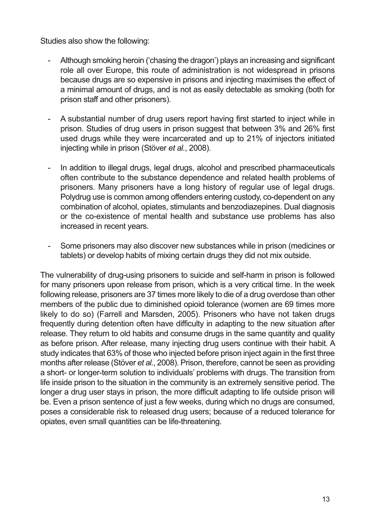Studies also show the following:

- Although smoking heroin ('chasing the dragon') plays an increasing and significant role all over Europe, this route of administration is not widespread in prisons because drugs are so expensive in prisons and injecting maximises the effect of a minimal amount of drugs, and is not as easily detectable as smoking (both for prison staff and other prisoners).
- A substantial number of drug users report having first started to inject while in prison. Studies of drug users in prison suggest that between 3% and 26% first used drugs while they were incarcerated and up to 21% of injectors initiated injecting while in prison (Stöver *et al.*, 2008).
- In addition to illegal drugs, legal drugs, alcohol and prescribed pharmaceuticals often contribute to the substance dependence and related health problems of prisoners. Many prisoners have a long history of regular use of legal drugs. Polydrug use is common among offenders entering custody, co-dependent on any combination of alcohol, opiates, stimulants and benzodiazepines. Dual diagnosis or the co-existence of mental health and substance use problems has also increased in recent years.
- Some prisoners may also discover new substances while in prison (medicines or tablets) or develop habits of mixing certain drugs they did not mix outside.

The vulnerability of drug-using prisoners to suicide and self-harm in prison is followed for many prisoners upon release from prison, which is a very critical time. In the week following release, prisoners are 37 times more likely to die of a drug overdose than other members of the public due to diminished opioid tolerance (women are 69 times more likely to do so) (Farrell and Marsden, 2005). Prisoners who have not taken drugs frequently during detention often have difficulty in adapting to the new situation after release. They return to old habits and consume drugs in the same quantity and quality as before prison. After release, many injecting drug users continue with their habit. A study indicates that 63% of those who injected before prison inject again in the first three months after release (Stöver *et al.*, 2008). Prison, therefore, cannot be seen as providing a short- or longer-term solution to individuals' problems with drugs. The transition from life inside prison to the situation in the community is an extremely sensitive period. The longer a drug user stays in prison, the more difficult adapting to life outside prison will be. Even a prison sentence of just a few weeks, during which no drugs are consumed, poses a considerable risk to released drug users; because of a reduced tolerance for opiates, even small quantities can be life-threatening.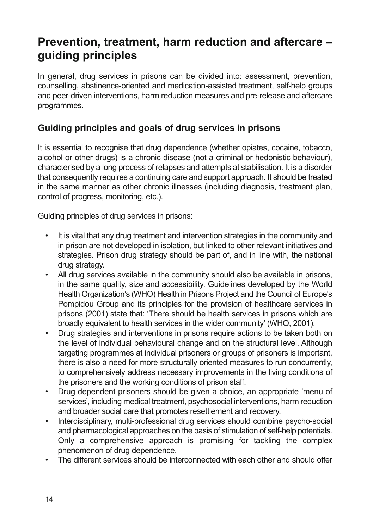# **Prevention, treatment, harm reduction and aftercare – guiding principles**

In general, drug services in prisons can be divided into: assessment, prevention, counselling, abstinence-oriented and medication-assisted treatment, self-help groups and peer-driven interventions, harm reduction measures and pre-release and aftercare programmes.

#### **Guiding principles and goals of drug services in prisons**

It is essential to recognise that drug dependence (whether opiates, cocaine, tobacco, alcohol or other drugs) is a chronic disease (not a criminal or hedonistic behaviour), characterised by a long process of relapses and attempts at stabilisation. It is a disorder that consequently requires a continuing care and support approach. It should be treated in the same manner as other chronic illnesses (including diagnosis, treatment plan, control of progress, monitoring, etc.).

Guiding principles of drug services in prisons:

- It is vital that any drug treatment and intervention strategies in the community and in prison are not developed in isolation, but linked to other relevant initiatives and strategies. Prison drug strategy should be part of, and in line with, the national drug strategy.
- All drug services available in the community should also be available in prisons, in the same quality, size and accessibility. Guidelines developed by the World Health Organization's (WHO) Health in Prisons Project and the Council of Europe's Pompidou Group and its principles for the provision of healthcare services in prisons (2001) state that: 'There should be health services in prisons which are broadly equivalent to health services in the wider community' (WHO, 2001).
- Drug strategies and interventions in prisons require actions to be taken both on the level of individual behavioural change and on the structural level. Although targeting programmes at individual prisoners or groups of prisoners is important, there is also a need for more structurally oriented measures to run concurrently, to comprehensively address necessary improvements in the living conditions of the prisoners and the working conditions of prison staff.
- Drug dependent prisoners should be given a choice, an appropriate 'menu of services', including medical treatment, psychosocial interventions, harm reduction and broader social care that promotes resettlement and recovery.
- Interdisciplinary, multi-professional drug services should combine psycho-social and pharmacological approaches on the basis of stimulation of self-help potentials. Only a comprehensive approach is promising for tackling the complex phenomenon of drug dependence.
- The different services should be interconnected with each other and should offer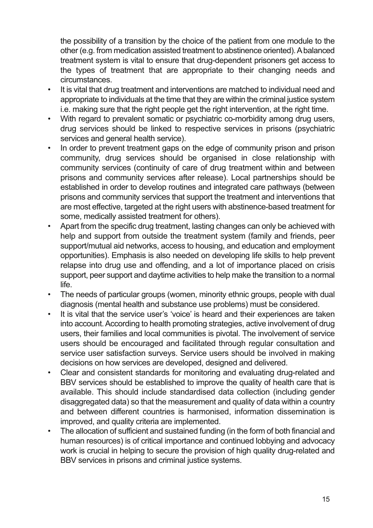the possibility of a transition by the choice of the patient from one module to the other (e.g. from medication assisted treatment to abstinence oriented). A balanced treatment system is vital to ensure that drug-dependent prisoners get access to the types of treatment that are appropriate to their changing needs and circumstances.

- It is vital that drug treatment and interventions are matched to individual need and appropriate to individuals at the time that they are within the criminal justice system i.e. making sure that the right people get the right intervention, at the right time.
- With regard to prevalent somatic or psychiatric co-morbidity among drug users. drug services should be linked to respective services in prisons (psychiatric services and general health service).
- In order to prevent treatment gaps on the edge of community prison and prison community, drug services should be organised in close relationship with community services (continuity of care of drug treatment within and between prisons and community services after release). Local partnerships should be established in order to develop routines and integrated care pathways (between prisons and community services that support the treatment and interventions that are most effective, targeted at the right users with abstinence-based treatment for some, medically assisted treatment for others).
- Apart from the specific drug treatment, lasting changes can only be achieved with help and support from outside the treatment system (family and friends, peer support/mutual aid networks, access to housing, and education and employment opportunities). Emphasis is also needed on developing life skills to help prevent relapse into drug use and offending, and a lot of importance placed on crisis support, peer support and daytime activities to help make the transition to a normal life.
- The needs of particular groups (women, minority ethnic groups, people with dual diagnosis (mental health and substance use problems) must be considered.
- It is vital that the service user's 'voice' is heard and their experiences are taken into account. According to health promoting strategies, active involvement of drug users, their families and local communities is pivotal. The involvement of service users should be encouraged and facilitated through regular consultation and service user satisfaction surveys. Service users should be involved in making decisions on how services are developed, designed and delivered.
- Clear and consistent standards for monitoring and evaluating drug-related and BBV services should be established to improve the quality of health care that is available. This should include standardised data collection (including gender disaggregated data) so that the measurement and quality of data within a country and between different countries is harmonised, information dissemination is improved, and quality criteria are implemented.
- The allocation of sufficient and sustained funding (in the form of both financial and human resources) is of critical importance and continued lobbying and advocacy work is crucial in helping to secure the provision of high quality drug-related and BBV services in prisons and criminal justice systems.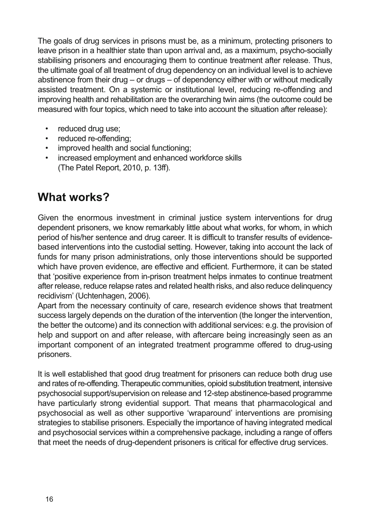The goals of drug services in prisons must be, as a minimum, protecting prisoners to leave prison in a healthier state than upon arrival and, as a maximum, psycho-socially stabilising prisoners and encouraging them to continue treatment after release. Thus, the ultimate goal of all treatment of drug dependency on an individual level is to achieve abstinence from their drug – or drugs – of dependency either with or without medically assisted treatment. On a systemic or institutional level, reducing re-offending and improving health and rehabilitation are the overarching twin aims (the outcome could be measured with four topics, which need to take into account the situation after release):

- reduced drug use;<br>• reduced re-offendi
- reduced re-offending;
- improved health and social functioning;
- increased employment and enhanced workforce skills (The Patel Report, 2010, p. 13ff).

## **What works?**

Given the enormous investment in criminal justice system interventions for drug dependent prisoners, we know remarkably little about what works, for whom, in which period of his/her sentence and drug career. It is difficult to transfer results of evidencebased interventions into the custodial setting. However, taking into account the lack of funds for many prison administrations, only those interventions should be supported which have proven evidence, are effective and efficient. Furthermore, it can be stated that 'positive experience from in-prison treatment helps inmates to continue treatment after release, reduce relapse rates and related health risks, and also reduce delinquency recidivism' (Uchtenhagen, 2006).

Apart from the necessary continuity of care, research evidence shows that treatment success largely depends on the duration of the intervention (the longer the intervention, the better the outcome) and its connection with additional services: e.g. the provision of help and support on and after release, with aftercare being increasingly seen as an important component of an integrated treatment programme offered to drug-using prisoners.

It is well established that good drug treatment for prisoners can reduce both drug use and rates of re-offending. Therapeutic communities, opioid substitution treatment, intensive psychosocial support/supervision on release and 12-step abstinence-based programme have particularly strong evidential support. That means that pharmacological and psychosocial as well as other supportive 'wraparound' interventions are promising strategies to stabilise prisoners. Especially the importance of having integrated medical and psychosocial services within a comprehensive package, including a range of offers that meet the needs of drug-dependent prisoners is critical for effective drug services.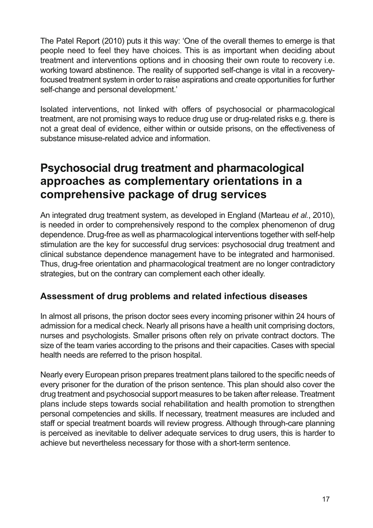The Patel Report (2010) puts it this way: 'One of the overall themes to emerge is that people need to feel they have choices. This is as important when deciding about treatment and interventions options and in choosing their own route to recovery i.e. working toward abstinence. The reality of supported self-change is vital in a recoveryfocused treatment system in order to raise aspirations and create opportunities for further self-change and personal development.'

Isolated interventions, not linked with offers of psychosocial or pharmacological treatment, are not promising ways to reduce drug use or drug-related risks e.g. there is not a great deal of evidence, either within or outside prisons, on the effectiveness of substance misuse-related advice and information.

### **Psychosocial drug treatment and pharmacological approaches as complementary orientations in a comprehensive package of drug services**

An integrated drug treatment system, as developed in England (Marteau *et al.*, 2010), is needed in order to comprehensively respond to the complex phenomenon of drug dependence. Drug-free as well as pharmacological interventions together with self-help stimulation are the key for successful drug services: psychosocial drug treatment and clinical substance dependence management have to be integrated and harmonised. Thus, drug-free orientation and pharmacological treatment are no longer contradictory strategies, but on the contrary can complement each other ideally.

#### **Assessment of drug problems and related infectious diseases**

In almost all prisons, the prison doctor sees every incoming prisoner within 24 hours of admission for a medical check. Nearly all prisons have a health unit comprising doctors, nurses and psychologists. Smaller prisons often rely on private contract doctors. The size of the team varies according to the prisons and their capacities. Cases with special health needs are referred to the prison hospital.

Nearly every European prison prepares treatment plans tailored to the specific needs of every prisoner for the duration of the prison sentence. This plan should also cover the drug treatment and psychosocial support measures to be taken after release. Treatment plans include steps towards social rehabilitation and health promotion to strengthen personal competencies and skills. If necessary, treatment measures are included and staff or special treatment boards will review progress. Although through-care planning is perceived as inevitable to deliver adequate services to drug users, this is harder to achieve but nevertheless necessary for those with a short-term sentence.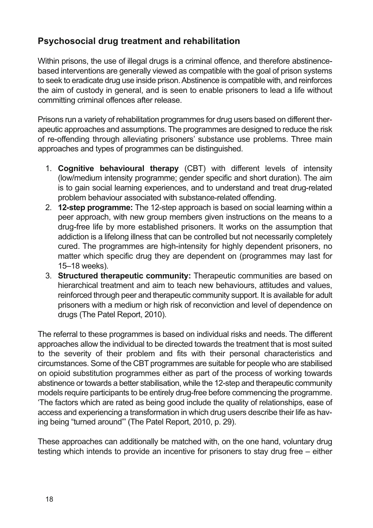#### **Psychosocial drug treatment and rehabilitation**

Within prisons, the use of illegal drugs is a criminal offence, and therefore abstinencebased interventions are generally viewed as compatible with the goal of prison systems to seek to eradicate drug use inside prison. Abstinence is compatible with, and reinforces the aim of custody in general, and is seen to enable prisoners to lead a life without committing criminal offences after release.

Prisons run a variety of rehabilitation programmes for drug users based on different therapeutic approaches and assumptions. The programmes are designed to reduce the risk of re-offending through alleviating prisoners' substance use problems. Three main approaches and types of programmes can be distinguished.

- 1. **Cognitive behavioural therapy** (CBT) with different levels of intensity (low/medium intensity programme; gender specific and short duration). The aim is to gain social learning experiences, and to understand and treat drug-related problem behaviour associated with substance-related offending.
- 2. **12-step programme:** The 12-step approach is based on social learning within a peer approach, with new group members given instructions on the means to a drug-free life by more established prisoners. It works on the assumption that addiction is a lifelong illness that can be controlled but not necessarily completely cured. The programmes are high-intensity for highly dependent prisoners, no matter which specific drug they are dependent on (programmes may last for 15–18 weeks).
- 3. **Structured therapeutic community:** Therapeutic communities are based on hierarchical treatment and aim to teach new behaviours, attitudes and values, reinforced through peer and therapeutic community support. It is available for adult prisoners with a medium or high risk of reconviction and level of dependence on drugs (The Patel Report, 2010).

The referral to these programmes is based on individual risks and needs. The different approaches allow the individual to be directed towards the treatment that is most suited to the severity of their problem and fits with their personal characteristics and circumstances. Some of the CBT programmes are suitable for people who are stabilised on opioid substitution programmes either as part of the process of working towards abstinence or towards a better stabilisation, while the 12-step and therapeutic community models require participants to be entirely drug-free before commencing the programme. 'The factors which are rated as being good include the quality of relationships, ease of access and experiencing a transformation in which drug users describe their life as having being "turned around"' (The Patel Report, 2010, p. 29).

These approaches can additionally be matched with, on the one hand, voluntary drug testing which intends to provide an incentive for prisoners to stay drug free – either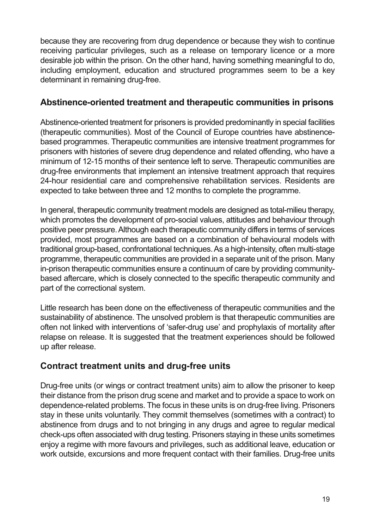because they are recovering from drug dependence or because they wish to continue receiving particular privileges, such as a release on temporary licence or a more desirable job within the prison. On the other hand, having something meaningful to do, including employment, education and structured programmes seem to be a key determinant in remaining drug-free.

#### **Abstinence-oriented treatment and therapeutic communities in prisons**

Abstinence-oriented treatment for prisoners is provided predominantly in special facilities (therapeutic communities). Most of the Council of Europe countries have abstinencebased programmes. Therapeutic communities are intensive treatment programmes for prisoners with histories of severe drug dependence and related offending, who have a minimum of 12-15 months of their sentence left to serve. Therapeutic communities are drug-free environments that implement an intensive treatment approach that requires 24-hour residential care and comprehensive rehabilitation services. Residents are expected to take between three and 12 months to complete the programme.

In general, therapeutic community treatment models are designed as total-milieu therapy, which promotes the development of pro-social values, attitudes and behaviour through positive peer pressure. Although each therapeutic community differs in terms of services provided, most programmes are based on a combination of behavioural models with traditional group-based, confrontational techniques. As a high-intensity, often multi-stage programme, therapeutic communities are provided in a separate unit of the prison. Many in-prison therapeutic communities ensure a continuum of care by providing communitybased aftercare, which is closely connected to the specific therapeutic community and part of the correctional system.

Little research has been done on the effectiveness of therapeutic communities and the sustainability of abstinence. The unsolved problem is that therapeutic communities are often not linked with interventions of 'safer-drug use' and prophylaxis of mortality after relapse on release. It is suggested that the treatment experiences should be followed up after release.

#### **Contract treatment units and drug-free units**

Drug-free units (or wings or contract treatment units) aim to allow the prisoner to keep their distance from the prison drug scene and market and to provide a space to work on dependence-related problems. The focus in these units is on drug-free living. Prisoners stay in these units voluntarily. They commit themselves (sometimes with a contract) to abstinence from drugs and to not bringing in any drugs and agree to regular medical check-ups often associated with drug testing. Prisoners staying in these units sometimes enjoy a regime with more favours and privileges, such as additional leave, education or work outside, excursions and more frequent contact with their families. Drug-free units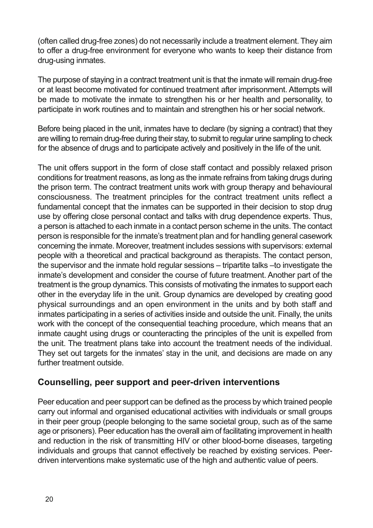(often called drug-free zones) do not necessarily include a treatment element. They aim to offer a drug-free environment for everyone who wants to keep their distance from drug-using inmates.

The purpose of staying in a contract treatment unit is that the inmate will remain drug-free or at least become motivated for continued treatment after imprisonment. Attempts will be made to motivate the inmate to strengthen his or her health and personality, to participate in work routines and to maintain and strengthen his or her social network.

Before being placed in the unit, inmates have to declare (by signing a contract) that they are willing to remain drug-free during their stay, to submit to regular urine sampling to check for the absence of drugs and to participate actively and positively in the life of the unit.

The unit offers support in the form of close staff contact and possibly relaxed prison conditions for treatment reasons, as long as the inmate refrains from taking drugs during the prison term. The contract treatment units work with group therapy and behavioural consciousness. The treatment principles for the contract treatment units reflect a fundamental concept that the inmates can be supported in their decision to stop drug use by offering close personal contact and talks with drug dependence experts. Thus, a person is attached to each inmate in a contact person scheme in the units. The contact person is responsible for the inmate's treatment plan and for handling general casework concerning the inmate. Moreover, treatment includes sessions with supervisors: external people with a theoretical and practical background as therapists. The contact person, the supervisor and the inmate hold regular sessions – tripartite talks –to investigate the inmate's development and consider the course of future treatment. Another part of the treatment is the group dynamics. This consists of motivating the inmates to support each other in the everyday life in the unit. Group dynamics are developed by creating good physical surroundings and an open environment in the units and by both staff and inmates participating in a series of activities inside and outside the unit. Finally, the units work with the concept of the consequential teaching procedure, which means that an inmate caught using drugs or counteracting the principles of the unit is expelled from the unit. The treatment plans take into account the treatment needs of the individual. They set out targets for the inmates' stay in the unit, and decisions are made on any further treatment outside.

#### **Counselling, peer support and peer-driven interventions**

Peer education and peer support can be defined as the process by which trained people carry out informal and organised educational activities with individuals or small groups in their peer group (people belonging to the same societal group, such as of the same age or prisoners). Peer education has the overall aim of facilitating improvement in health and reduction in the risk of transmitting HIV or other blood-borne diseases, targeting individuals and groups that cannot effectively be reached by existing services. Peerdriven interventions make systematic use of the high and authentic value of peers.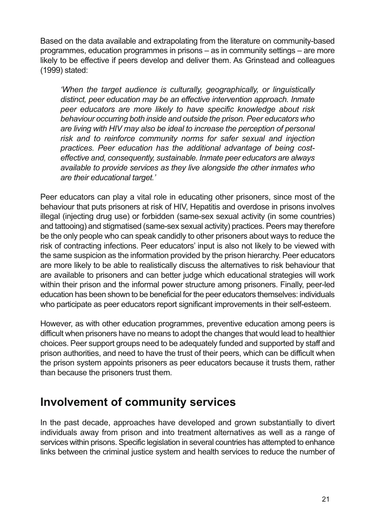Based on the data available and extrapolating from the literature on community-based programmes, education programmes in prisons – as in community settings – are more likely to be effective if peers develop and deliver them. As Grinstead and colleagues (1999) stated:

*'When the target audience is culturally, geographically, or linguistically distinct, peer education may be an effective intervention approach. Inmate peer educators are more likely to have specific knowledge about risk behaviour occurring both inside and outside the prison. Peer educators who are living with HIV may also be ideal to increase the perception of personal risk and to reinforce community norms for safer sexual and injection practices. Peer education has the additional advantage of being costeffective and, consequently, sustainable. Inmate peer educators are always available to provide services as they live alongside the other inmates who are their educational target.'*

Peer educators can play a vital role in educating other prisoners, since most of the behaviour that puts prisoners at risk of HIV, Hepatitis and overdose in prisons involves illegal (injecting drug use) or forbidden (same-sex sexual activity (in some countries) and tattooing) and stigmatised (same-sex sexual activity) practices. Peers may therefore be the only people who can speak candidly to other prisoners about ways to reduce the risk of contracting infections. Peer educators' input is also not likely to be viewed with the same suspicion as the information provided by the prison hierarchy. Peer educators are more likely to be able to realistically discuss the alternatives to risk behaviour that are available to prisoners and can better judge which educational strategies will work within their prison and the informal power structure among prisoners. Finally, peer-led education has been shown to be beneficial for the peer educators themselves: individuals who participate as peer educators report significant improvements in their self-esteem.

However, as with other education programmes, preventive education among peers is difficult when prisoners have no means to adopt the changes that would lead to healthier choices. Peer support groups need to be adequately funded and supported by staff and prison authorities, and need to have the trust of their peers, which can be difficult when the prison system appoints prisoners as peer educators because it trusts them, rather than because the prisoners trust them.

### **Involvement of community services**

In the past decade, approaches have developed and grown substantially to divert individuals away from prison and into treatment alternatives as well as a range of services within prisons. Specific legislation in several countries has attempted to enhance links between the criminal justice system and health services to reduce the number of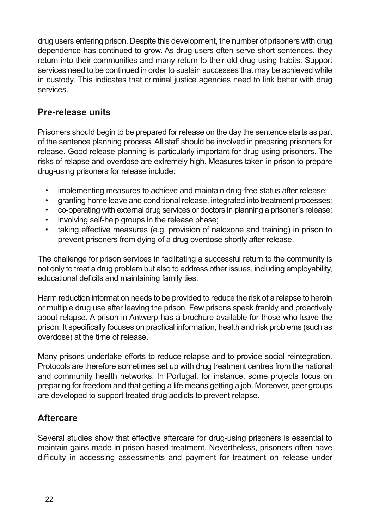drug users entering prison. Despite this development, the number of prisoners with drug dependence has continued to grow. As drug users often serve short sentences, they return into their communities and many return to their old drug-using habits. Support services need to be continued in order to sustain successes that may be achieved while in custody. This indicates that criminal justice agencies need to link better with drug services.

#### **Pre-release units**

Prisoners should begin to be prepared for release on the day the sentence starts as part of the sentence planning process. All staff should be involved in preparing prisoners for release. Good release planning is particularly important for drug-using prisoners. The risks of relapse and overdose are extremely high. Measures taken in prison to prepare drug-using prisoners for release include:

- implementing measures to achieve and maintain drug-free status after release;
- granting home leave and conditional release, integrated into treatment processes;
- co-operating with external drug services or doctors in planning a prisoner's release;
- involving self-help groups in the release phase;
- taking effective measures (e.g. provision of naloxone and training) in prison to prevent prisoners from dying of a drug overdose shortly after release.

The challenge for prison services in facilitating a successful return to the community is not only to treat a drug problem but also to address other issues, including employability, educational deficits and maintaining family ties.

Harm reduction information needs to be provided to reduce the risk of a relapse to heroin or multiple drug use after leaving the prison. Few prisons speak frankly and proactively about relapse. A prison in Antwerp has a brochure available for those who leave the prison. It specifically focuses on practical information, health and risk problems (such as overdose) at the time of release.

Many prisons undertake efforts to reduce relapse and to provide social reintegration. Protocols are therefore sometimes set up with drug treatment centres from the national and community health networks. In Portugal, for instance, some projects focus on preparing for freedom and that getting a life means getting a job. Moreover, peer groups are developed to support treated drug addicts to prevent relapse.

#### **Aftercare**

Several studies show that effective aftercare for drug-using prisoners is essential to maintain gains made in prison-based treatment. Nevertheless, prisoners often have difficulty in accessing assessments and payment for treatment on release under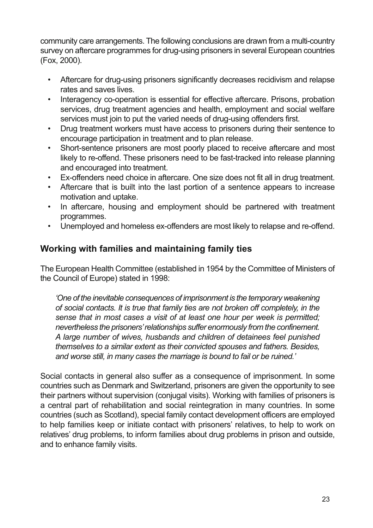community care arrangements. The following conclusions are drawn from a multi-country survey on aftercare programmes for drug-using prisoners in several European countries (Fox, 2000).

- Aftercare for drug-using prisoners significantly decreases recidivism and relapse rates and saves lives.
- Interagency co-operation is essential for effective aftercare. Prisons, probation services, drug treatment agencies and health, employment and social welfare services must join to put the varied needs of drug-using offenders first.
- Drug treatment workers must have access to prisoners during their sentence to encourage participation in treatment and to plan release.
- Short-sentence prisoners are most poorly placed to receive aftercare and most likely to re-offend. These prisoners need to be fast-tracked into release planning and encouraged into treatment.
- Ex-offenders need choice in aftercare. One size does not fit all in drug treatment.
- Aftercare that is built into the last portion of a sentence appears to increase motivation and uptake.
- In aftercare, housing and employment should be partnered with treatment programmes.
- Unemployed and homeless ex-offenders are most likely to relapse and re-offend.

#### **Working with families and maintaining family ties**

The European Health Committee (established in 1954 by the Committee of Ministers of the Council of Europe) stated in 1998:

*'One of the inevitable consequences of imprisonment is the temporary weakening of social contacts. It is true that family ties are not broken off completely, in the sense that in most cases a visit of at least one hour per week is permitted; nevertheless the prisoners' relationships suffer enormously from the confinement. A large number of wives, husbands and children of detainees feel punished themselves to a similar extent as their convicted spouses and fathers. Besides, and worse still, in many cases the marriage is bound to fail or be ruined.'*

Social contacts in general also suffer as a consequence of imprisonment. In some countries such as Denmark and Switzerland, prisoners are given the opportunity to see their partners without supervision (conjugal visits). Working with families of prisoners is a central part of rehabilitation and social reintegration in many countries. In some countries (such as Scotland), special family contact development officers are employed to help families keep or initiate contact with prisoners' relatives, to help to work on relatives' drug problems, to inform families about drug problems in prison and outside, and to enhance family visits.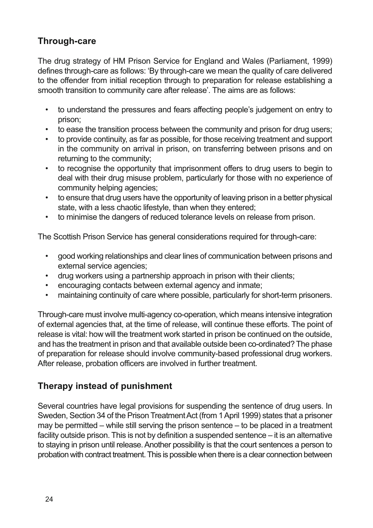#### **Through-care**

The drug strategy of HM Prison Service for England and Wales (Parliament, 1999) defines through-care as follows: 'By through-care we mean the quality of care delivered to the offender from initial reception through to preparation for release establishing a smooth transition to community care after release'. The aims are as follows:

- to understand the pressures and fears affecting people's judgement on entry to prison;
- to ease the transition process between the community and prison for drug users;
- to provide continuity, as far as possible, for those receiving treatment and support in the community on arrival in prison, on transferring between prisons and on returning to the community;
- to recognise the opportunity that imprisonment offers to drug users to begin to deal with their drug misuse problem, particularly for those with no experience of community helping agencies:
- to ensure that drug users have the opportunity of leaving prison in a better physical state, with a less chaotic lifestyle, than when they entered;
- to minimise the dangers of reduced tolerance levels on release from prison.

The Scottish Prison Service has general considerations required for through-care:

- good working relationships and clear lines of communication between prisons and external service agencies;
- drug workers using a partnership approach in prison with their clients;
- encouraging contacts between external agency and inmate;
- maintaining continuity of care where possible, particularly for short-term prisoners.

Through-care must involve multi-agency co-operation, which means intensive integration of external agencies that, at the time of release, will continue these efforts. The point of release is vital: how will the treatment work started in prison be continued on the outside, and has the treatment in prison and that available outside been co-ordinated? The phase of preparation for release should involve community-based professional drug workers. After release, probation officers are involved in further treatment.

#### **Therapy instead of punishment**

Several countries have legal provisions for suspending the sentence of drug users. In Sweden, Section 34 of the Prison Treatment Act (from 1 April 1999) states that a prisoner may be permitted – while still serving the prison sentence – to be placed in a treatment facility outside prison. This is not by definition a suspended sentence – it is an alternative to staying in prison until release. Another possibility is that the court sentences a person to probation with contract treatment. This is possible when there is a clear connection between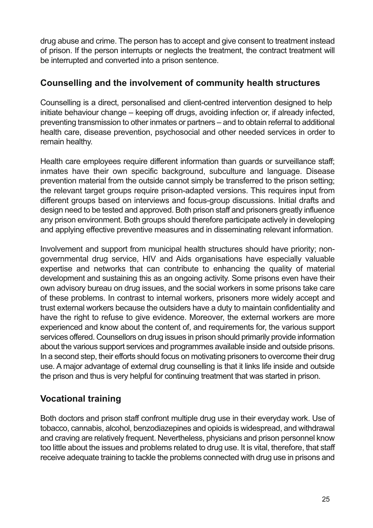drug abuse and crime. The person has to accept and give consent to treatment instead of prison. If the person interrupts or neglects the treatment, the contract treatment will be interrupted and converted into a prison sentence.

#### **Counselling and the involvement of community health structures**

Counselling is a direct, personalised and client-centred intervention designed to help initiate behaviour change – keeping off drugs, avoiding infection or, if already infected, preventing transmission to other inmates or partners – and to obtain referral to additional health care, disease prevention, psychosocial and other needed services in order to remain healthy.

Health care employees require different information than guards or surveillance staff; inmates have their own specific background, subculture and language. Disease prevention material from the outside cannot simply be transferred to the prison setting; the relevant target groups require prison-adapted versions. This requires input from different groups based on interviews and focus-group discussions. Initial drafts and design need to be tested and approved. Both prison staff and prisoners greatly influence any prison environment. Both groups should therefore participate actively in developing and applying effective preventive measures and in disseminating relevant information.

Involvement and support from municipal health structures should have priority; nongovernmental drug service, HIV and Aids organisations have especially valuable expertise and networks that can contribute to enhancing the quality of material development and sustaining this as an ongoing activity. Some prisons even have their own advisory bureau on drug issues, and the social workers in some prisons take care of these problems. In contrast to internal workers, prisoners more widely accept and trust external workers because the outsiders have a duty to maintain confidentiality and have the right to refuse to give evidence. Moreover, the external workers are more experienced and know about the content of, and requirements for, the various support services offered. Counsellors on drug issues in prison should primarily provide information about the various support services and programmes available inside and outside prisons. In a second step, their efforts should focus on motivating prisoners to overcome their drug use. A major advantage of external drug counselling is that it links life inside and outside the prison and thus is very helpful for continuing treatment that was started in prison.

#### **Vocational training**

Both doctors and prison staff confront multiple drug use in their everyday work. Use of tobacco, cannabis, alcohol, benzodiazepines and opioids is widespread, and withdrawal and craving are relatively frequent. Nevertheless, physicians and prison personnel know too little about the issues and problems related to drug use. It is vital, therefore, that staff receive adequate training to tackle the problems connected with drug use in prisons and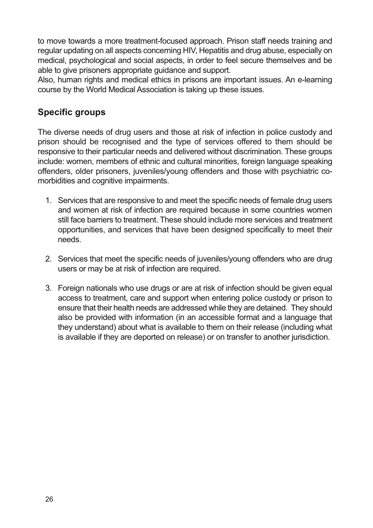to move towards a more treatment-focused approach. Prison staff needs training and regular updating on all aspects concerning HIV, Hepatitis and drug abuse, especially on medical, psychological and social aspects, in order to feel secure themselves and be able to give prisoners appropriate guidance and support.

Also, human rights and medical ethics in prisons are important issues. An e-learning course by the World Medical Association is taking up these issues.

#### **Specific groups**

The diverse needs of drug users and those at risk of infection in police custody and prison should be recognised and the type of services offered to them should be responsive to their particular needs and delivered without discrimination. These groups include: women, members of ethnic and cultural minorities, foreign language speaking offenders, older prisoners, juveniles/young offenders and those with psychiatric comorbidities and cognitive impairments.

- 1. Services that are responsive to and meet the specific needs of female drug users and women at risk of infection are required because in some countries women still face barriers to treatment. These should include more services and treatment opportunities, and services that have been designed specifically to meet their needs.
- 2. Services that meet the specific needs of juveniles/young offenders who are drug users or may be at risk of infection are required.
- 3. Foreign nationals who use drugs or are at risk of infection should be given equal access to treatment, care and support when entering police custody or prison to ensure that their health needs are addressed while they are detained. They should also be provided with information (in an accessible format and a language that they understand) about what is available to them on their release (including what is available if they are deported on release) or on transfer to another jurisdiction.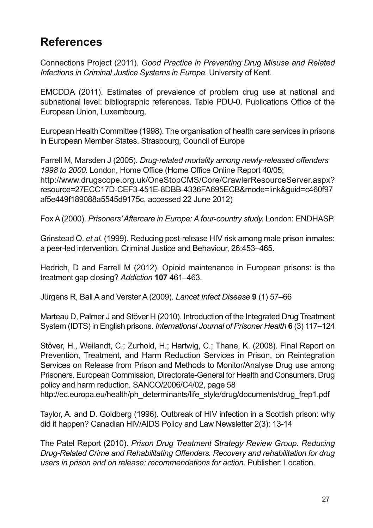# **References**

Connections Project (2011). *Good Practice in Preventing Drug Misuse and Related Infections in Criminal Justice Systems in Europe.* University of Kent.

EMCDDA (2011). Estimates of prevalence of problem drug use at national and subnational level: bibliographic references. Table PDU-0. Publications Office of the European Union, Luxembourg,

European Health Committee (1998). The organisation of health care services in prisons in European Member States. Strasbourg, Council of Europe

Farrell M, Marsden J (2005). *Drug-related mortality among newly-released offenders 1998 to 2000.* London, Home Office (Home Office Online Report 40/05; http://www.drugscope.org.uk/OneStopCMS/Core/CrawlerResourceServer.aspx? resource=27ECC17D-CEF3-451E-8DBB-4336FA695ECB&mode=link&guid=c460f97 af5e449f189088a5545d9175c, accessed 22 June 2012)

Fox A (2000). *Prisoners' Aftercare in Europe: A four-country study.* London: ENDHASP.

Grinstead O. *et al.* (1999). Reducing post-release HIV risk among male prison inmates: a peer-led intervention. Criminal Justice and Behaviour, 26:453–465.

Hedrich, D and Farrell M (2012). Opioid maintenance in European prisons: is the treatment gap closing? *Addiction* **107** 461–463.

Jürgens R, Ball A and Verster A (2009). *Lancet Infect Disease* **9** (1) 57–66

Marteau D, Palmer J and Stöver H (2010). Introduction of the Integrated Drug Treatment System (IDTS) in English prisons. *International Journal of Prisoner Health* **6** (3) 117–124

Stöver, H., Weilandt, C.; Zurhold, H.; Hartwig, C.; Thane, K. (2008). Final Report on Prevention, Treatment, and Harm Reduction Services in Prison, on Reintegration Services on Release from Prison and Methods to Monitor/Analyse Drug use among Prisoners. European Commission, Directorate-General for Health and Consumers. Drug policy and harm reduction. SANCO/2006/C4/02, page 58

http://ec.europa.eu/health/ph\_determinants/life\_style/drug/documents/drug\_frep1.pdf

Taylor, A. and D. Goldberg (1996). Outbreak of HIV infection in a Scottish prison: why did it happen? Canadian HIV/AIDS Policy and Law Newsletter 2(3): 13-14

The Patel Report (2010). *Prison Drug Treatment Strategy Review Group. Reducing Drug-Related Crime and Rehabilitating Offenders. Recovery and rehabilitation for drug users in prison and on release: recommendations for action.* Publisher: Location.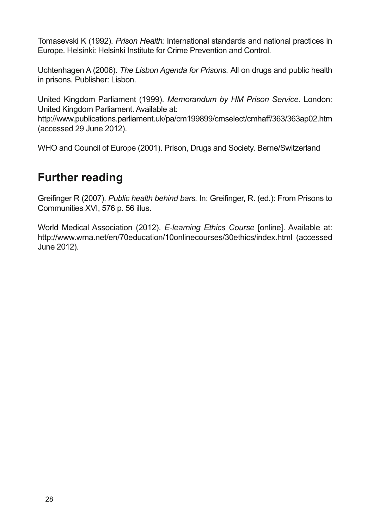Tomasevski K (1992). *Prison Health:* International standards and national practices in Europe. Helsinki: Helsinki Institute for Crime Prevention and Control.

Uchtenhagen A (2006). *The Lisbon Agenda for Prisons.* All on drugs and public health in prisons. Publisher: Lisbon.

United Kingdom Parliament (1999). *Memorandum by HM Prison Service.* London: United Kingdom Parliament. Available at:

http://www.publications.parliament.uk/pa/cm199899/cmselect/cmhaff/363/363ap02.htm (accessed 29 June 2012).

WHO and Council of Europe (2001). Prison, Drugs and Society. Berne/Switzerland

## **Further reading**

Greifinger R (2007). *Public health behind bars.* In: Greifinger, R. (ed.): From Prisons to Communities XVI, 576 p. 56 illus.

World Medical Association (2012). *E-learning Ethics Course* [online]. Available at: http://www.wma.net/en/70education/10onlinecourses/30ethics/index.html (accessed June 2012).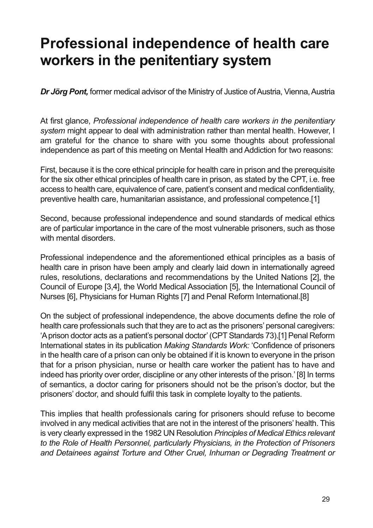# **Professional independence of health care workers in the penitentiary system**

*Dr Jörg Pont,* former medical advisor of the Ministry of Justice of Austria, Vienna, Austria

At first glance, *Professional independence of health care workers in the penitentiary system* might appear to deal with administration rather than mental health. However, I am grateful for the chance to share with you some thoughts about professional independence as part of this meeting on Mental Health and Addiction for two reasons:

First, because it is the core ethical principle for health care in prison and the prerequisite for the six other ethical principles of health care in prison, as stated by the CPT, i.e. free access to health care, equivalence of care, patient's consent and medical confidentiality, preventive health care, humanitarian assistance, and professional competence.[1]

Second, because professional independence and sound standards of medical ethics are of particular importance in the care of the most vulnerable prisoners, such as those with mental disorders.

Professional independence and the aforementioned ethical principles as a basis of health care in prison have been amply and clearly laid down in internationally agreed rules, resolutions, declarations and recommendations by the United Nations [2], the Council of Europe [3,4], the World Medical Association [5], the International Council of Nurses [6], Physicians for Human Rights [7] and Penal Reform International.[8]

On the subject of professional independence, the above documents define the role of health care professionals such that they are to act as the prisoners' personal caregivers: 'A prison doctor acts as a patient's personal doctor' (CPT Standards 73).[1] Penal Reform International states in its publication *Making Standards Work:* 'Confidence of prisoners in the health care of a prison can only be obtained if it is known to everyone in the prison that for a prison physician, nurse or health care worker the patient has to have and indeed has priority over order, discipline or any other interests of the prison.' [8] In terms of semantics, a doctor caring for prisoners should not be the prison's doctor, but the prisoners' doctor, and should fulfil this task in complete loyalty to the patients.

This implies that health professionals caring for prisoners should refuse to become involved in any medical activities that are not in the interest of the prisoners' health. This is very clearly expressed in the 1982 UN Resolution *Principles of Medical Ethics relevant to the Role of Health Personnel, particularly Physicians, in the Protection of Prisoners and Detainees against Torture and Other Cruel, Inhuman or Degrading Treatment or*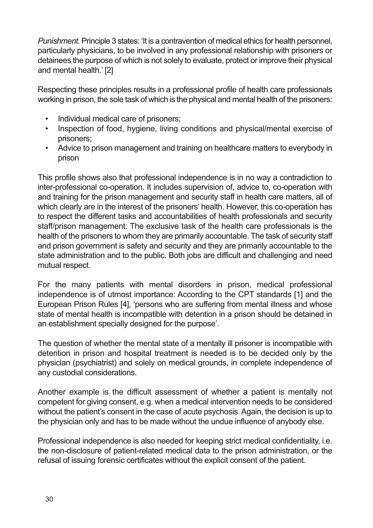*Punishment.* Principle 3 states: 'It is a contravention of medical ethics for health personnel, particularly physicians, to be involved in any professional relationship with prisoners or detainees the purpose of which is not solely to evaluate, protect or improve their physical and mental health.' [2]

Respecting these principles results in a professional profile of health care professionals working in prison, the sole task of which is the physical and mental health of the prisoners:

- Individual medical care of prisoners;
- Inspection of food, hygiene, living conditions and physical/mental exercise of prisoners;
- Advice to prison management and training on healthcare matters to everybody in prison

This profile shows also that professional independence is in no way a contradiction to inter-professional co-operation. It includes supervision of, advice to, co-operation with and training for the prison management and security staff in health care matters, all of which clearly are in the interest of the prisoners' health. However, this co-operation has to respect the different tasks and accountabilities of health professionals and security staff/prison management: The exclusive task of the health care professionals is the health of the prisoners to whom they are primarily accountable. The task of security staff and prison government is safety and security and they are primarily accountable to the state administration and to the public. Both jobs are difficult and challenging and need mutual respect.

For the many patients with mental disorders in prison, medical professional independence is of utmost importance: According to the CPT standards [1] and the European Prison Rules [4], 'persons who are suffering from mental illness and whose state of mental health is incompatible with detention in a prison should be detained in an establishment specially designed for the purpose'.

The question of whether the mental state of a mentally ill prisoner is incompatible with detention in prison and hospital treatment is needed is to be decided only by the physician (psychiatrist) and solely on medical grounds, in complete independence of any custodial considerations.

Another example is the difficult assessment of whether a patient is mentally not competent for giving consent, e.g. when a medical intervention needs to be considered without the patient's consent in the case of acute psychosis. Again, the decision is up to the physician only and has to be made without the undue influence of anybody else.

Professional independence is also needed for keeping strict medical confidentiality, i.e. the non-disclosure of patient-related medical data to the prison administration, or the refusal of issuing forensic certificates without the explicit consent of the patient.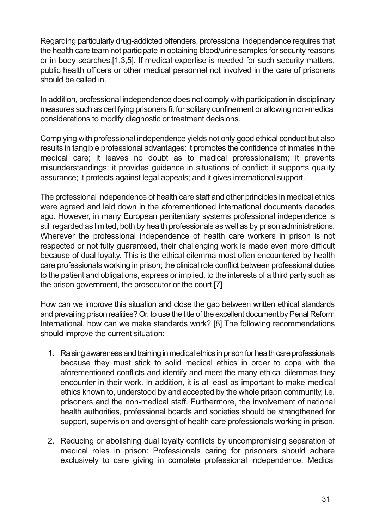Regarding particularly drug-addicted offenders, professional independence requires that the health care team not participate in obtaining blood/urine samples for security reasons or in body searches.[1,3,5]. If medical expertise is needed for such security matters, public health officers or other medical personnel not involved in the care of prisoners should be called in.

In addition, professional independence does not comply with participation in disciplinary measures such as certifying prisoners fit for solitary confinement or allowing non-medical considerations to modify diagnostic or treatment decisions.

Complying with professional independence yields not only good ethical conduct but also results in tangible professional advantages: it promotes the confidence of inmates in the medical care; it leaves no doubt as to medical professionalism; it prevents misunderstandings; it provides guidance in situations of conflict; it supports quality assurance; it protects against legal appeals; and it gives international support.

The professional independence of health care staff and other principles in medical ethics were agreed and laid down in the aforementioned international documents decades ago. However, in many European penitentiary systems professional independence is still regarded as limited, both by health professionals as well as by prison administrations. Wherever the professional independence of health care workers in prison is not respected or not fully guaranteed, their challenging work is made even more difficult because of dual loyalty. This is the ethical dilemma most often encountered by health care professionals working in prison; the clinical role conflict between professional duties to the patient and obligations, express or implied, to the interests of a third party such as the prison government, the prosecutor or the court.[7]

How can we improve this situation and close the gap between written ethical standards and prevailing prison realities? Or, to use the title of the excellent document by Penal Reform International, how can we make standards work? [8] The following recommendations should improve the current situation:

- 1. Raising awareness and training in medical ethics in prison for health care professionals because they must stick to solid medical ethics in order to cope with the aforementioned conflicts and identify and meet the many ethical dilemmas they encounter in their work. In addition, it is at least as important to make medical ethics known to, understood by and accepted by the whole prison community, i.e. prisoners and the non-medical staff. Furthermore, the involvement of national health authorities, professional boards and societies should be strengthened for support, supervision and oversight of health care professionals working in prison.
- 2. Reducing or abolishing dual loyalty conflicts by uncompromising separation of medical roles in prison: Professionals caring for prisoners should adhere exclusively to care giving in complete professional independence. Medical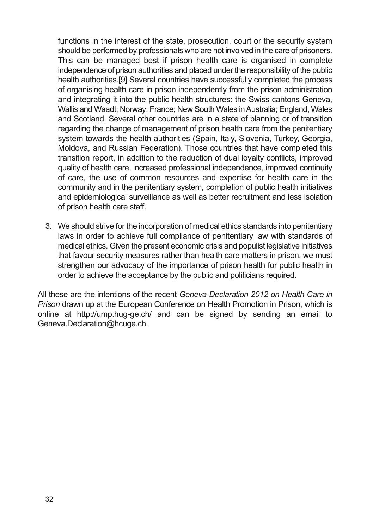functions in the interest of the state, prosecution, court or the security system should be performed by professionals who are not involved in the care of prisoners. This can be managed best if prison health care is organised in complete independence of prison authorities and placed under the responsibility of the public health authorities.[9] Several countries have successfully completed the process of organising health care in prison independently from the prison administration and integrating it into the public health structures: the Swiss cantons Geneva, Wallis and Waadt; Norway; France; New South Wales in Australia; England, Wales and Scotland. Several other countries are in a state of planning or of transition regarding the change of management of prison health care from the penitentiary system towards the health authorities (Spain, Italy, Slovenia, Turkey, Georgia, Moldova, and Russian Federation). Those countries that have completed this transition report, in addition to the reduction of dual loyalty conflicts, improved quality of health care, increased professional independence, improved continuity of care, the use of common resources and expertise for health care in the community and in the penitentiary system, completion of public health initiatives and epidemiological surveillance as well as better recruitment and less isolation of prison health care staff.

3. We should strive for the incorporation of medical ethics standards into penitentiary laws in order to achieve full compliance of penitentiary law with standards of medical ethics. Given the present economic crisis and populist legislative initiatives that favour security measures rather than health care matters in prison, we must strengthen our advocacy of the importance of prison health for public health in order to achieve the acceptance by the public and politicians required.

All these are the intentions of the recent *Geneva Declaration 2012 on Health Care in Prison* drawn up at the European Conference on Health Promotion in Prison, which is online at http://ump.hug-ge.ch/ and can be signed by sending an email to Geneva.Declaration@hcuge.ch.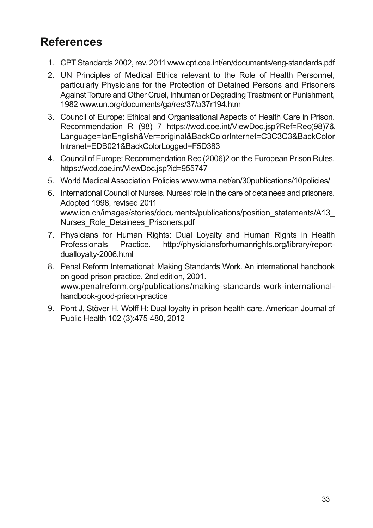# **References**

- 1. CPT Standards 2002, rev. 2011 www.cpt.coe.int/en/documents/eng-standards.pdf
- 2. UN Principles of Medical Ethics relevant to the Role of Health Personnel, particularly Physicians for the Protection of Detained Persons and Prisoners Against Torture and Other Cruel, Inhuman or Degrading Treatment or Punishment, 1982 www.un.org/documents/ga/res/37/a37r194.htm
- 3. Council of Europe: Ethical and Organisational Aspects of Health Care in Prison. Recommendation R (98) 7 https://wcd.coe.int/ViewDoc.jsp?Ref=Rec(98)7& Language=lanEnglish&Ver=original&BackColorInternet=C3C3C3&BackColor Intranet=EDB021&BackColorLogged=F5D383
- 4. Council of Europe: Recommendation Rec (2006)2 on the European Prison Rules. https://wcd.coe.int/ViewDoc.jsp?id=955747
- 5. World Medical Association Policies www.wma.net/en/30publications/10policies/
- 6. International Council of Nurses. Nurses' role in the care of detainees and prisoners. Adopted 1998, revised 2011 www.icn.ch/images/stories/documents/publications/position\_statements/A13 Nurses\_Role\_Detainees\_Prisoners.pdf
- 7. Physicians for Human Rights: Dual Loyalty and Human Rights in Health Professionals Practice. http://physiciansforhumanrights.org/library/reportdualloyalty-2006.html
- 8. Penal Reform International: Making Standards Work. An international handbook on good prison practice. 2nd edition, 2001. www.penalreform.org/publications/making-standards-work-internationalhandbook-good-prison-practice
- 9. Pont J, Stöver H, Wolff H: Dual loyalty in prison health care. American Journal of Public Health 102 (3):475-480, 2012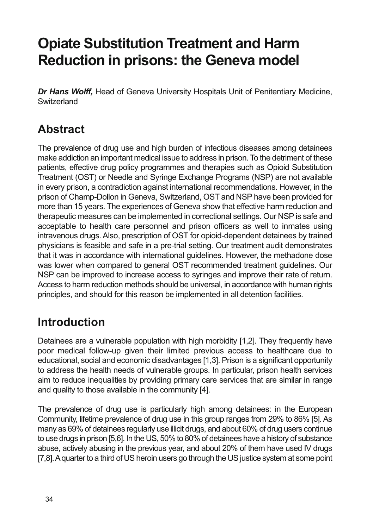# **Opiate Substitution Treatment and Harm Reduction in prisons: the Geneva model**

*Dr Hans Wolff,* Head of Geneva University Hospitals Unit of Penitentiary Medicine, **Switzerland** 

# **Abstract**

The prevalence of drug use and high burden of infectious diseases among detainees make addiction an important medical issue to address in prison. To the detriment of these patients, effective drug policy programmes and therapies such as Opioid Substitution Treatment (OST) or Needle and Syringe Exchange Programs (NSP) are not available in every prison, a contradiction against international recommendations. However, in the prison of Champ-Dollon in Geneva, Switzerland, OST and NSP have been provided for more than 15 years. The experiences of Geneva show that effective harm reduction and therapeutic measures can be implemented in correctional settings. Our NSP is safe and acceptable to health care personnel and prison officers as well to inmates using intravenous drugs. Also, prescription of OST for opioid-dependent detainees by trained physicians is feasible and safe in a pre-trial setting. Our treatment audit demonstrates that it was in accordance with international guidelines. However, the methadone dose was lower when compared to general OST recommended treatment guidelines. Our NSP can be improved to increase access to syringes and improve their rate of return. Access to harm reduction methods should be universal, in accordance with human rights principles, and should for this reason be implemented in all detention facilities.

# **Introduction**

Detainees are a vulnerable population with high morbidity [1,2]. They frequently have poor medical follow-up given their limited previous access to healthcare due to educational, social and economic disadvantages [1,3]. Prison is a significant opportunity to address the health needs of vulnerable groups. In particular, prison health services aim to reduce inequalities by providing primary care services that are similar in range and quality to those available in the community [4].

The prevalence of drug use is particularly high among detainees: in the European Community, lifetime prevalence of drug use in this group ranges from 29% to 86% [5]. As many as 69% of detainees regularly use illicit drugs, and about 60% of drug users continue to use drugs in prison [5,6]. In the US, 50% to 80% of detainees have a history of substance abuse, actively abusing in the previous year, and about 20% of them have used IV drugs [7,8]. A quarter to a third of US heroin users go through the US justice system at some point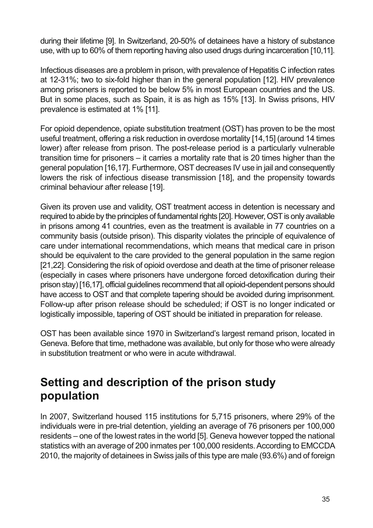during their lifetime [9]. In Switzerland, 20-50% of detainees have a history of substance use, with up to 60% of them reporting having also used drugs during incarceration [10,11].

Infectious diseases are a problem in prison, with prevalence of Hepatitis C infection rates at 12-31%; two to six-fold higher than in the general population [12]. HIV prevalence among prisoners is reported to be below 5% in most European countries and the US. But in some places, such as Spain, it is as high as 15% [13]. In Swiss prisons, HIV prevalence is estimated at 1% [11].

For opioid dependence, opiate substitution treatment (OST) has proven to be the most useful treatment, offering a risk reduction in overdose mortality [14,15] (around 14 times lower) after release from prison. The post-release period is a particularly vulnerable transition time for prisoners – it carries a mortality rate that is 20 times higher than the general population [16,17]. Furthermore, OST decreases IV use in jail and consequently lowers the risk of infectious disease transmission [18], and the propensity towards criminal behaviour after release [19].

Given its proven use and validity, OST treatment access in detention is necessary and required to abide by the principles of fundamental rights [20]. However, OST is only available in prisons among 41 countries, even as the treatment is available in 77 countries on a community basis (outside prison). This disparity violates the principle of equivalence of care under international recommendations, which means that medical care in prison should be equivalent to the care provided to the general population in the same region [21,22]. Considering the risk of opioid overdose and death at the time of prisoner release (especially in cases where prisoners have undergone forced detoxification during their prison stay) [16,17], official guidelines recommend that all opioid-dependent persons should have access to OST and that complete tapering should be avoided during imprisonment. Follow-up after prison release should be scheduled; if OST is no longer indicated or logistically impossible, tapering of OST should be initiated in preparation for release.

OST has been available since 1970 in Switzerland's largest remand prison, located in Geneva. Before that time, methadone was available, but only for those who were already in substitution treatment or who were in acute withdrawal.

# **Setting and description of the prison study population**

In 2007, Switzerland housed 115 institutions for 5,715 prisoners, where 29% of the individuals were in pre-trial detention, yielding an average of 76 prisoners per 100,000 residents – one of the lowest rates in the world [5]. Geneva however topped the national statistics with an average of 200 inmates per 100,000 residents. According to EMCCDA 2010, the majority of detainees in Swiss jails of this type are male (93.6%) and of foreign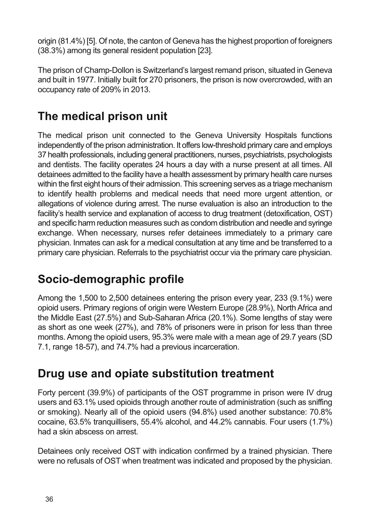origin (81.4%) [5]. Of note, the canton of Geneva has the highest proportion of foreigners (38.3%) among its general resident population [23].

The prison of Champ-Dollon is Switzerland's largest remand prison, situated in Geneva and built in 1977. Initially built for 270 prisoners, the prison is now overcrowded, with an occupancy rate of 209% in 2013.

# **The medical prison unit**

The medical prison unit connected to the Geneva University Hospitals functions independently of the prison administration. It offers low-threshold primary care and employs 37 health professionals, including general practitioners, nurses, psychiatrists, psychologists and dentists. The facility operates 24 hours a day with a nurse present at all times. All detainees admitted to the facility have a health assessment by primary health care nurses within the first eight hours of their admission. This screening serves as a triage mechanism to identify health problems and medical needs that need more urgent attention, or allegations of violence during arrest. The nurse evaluation is also an introduction to the facility's health service and explanation of access to drug treatment (detoxification, OST) and specific harm reduction measures such as condom distribution and needle and syringe exchange. When necessary, nurses refer detainees immediately to a primary care physician. Inmates can ask for a medical consultation at any time and be transferred to a primary care physician. Referrals to the psychiatrist occur via the primary care physician.

# **Socio-demographic profile**

Among the 1,500 to 2,500 detainees entering the prison every year, 233 (9.1%) were opioid users. Primary regions of origin were Western Europe (28.9%), North Africa and the Middle East (27.5%) and Sub-Saharan Africa (20.1%). Some lengths of stay were as short as one week (27%), and 78% of prisoners were in prison for less than three months. Among the opioid users, 95.3% were male with a mean age of 29.7 years (SD 7.1, range 18-57), and 74.7% had a previous incarceration.

# **Drug use and opiate substitution treatment**

Forty percent (39.9%) of participants of the OST programme in prison were IV drug users and 63.1% used opioids through another route of administration (such as sniffing or smoking). Nearly all of the opioid users (94.8%) used another substance: 70.8% cocaine, 63.5% tranquillisers, 55.4% alcohol, and 44.2% cannabis. Four users (1.7%) had a skin abscess on arrest.

Detainees only received OST with indication confirmed by a trained physician. There were no refusals of OST when treatment was indicated and proposed by the physician.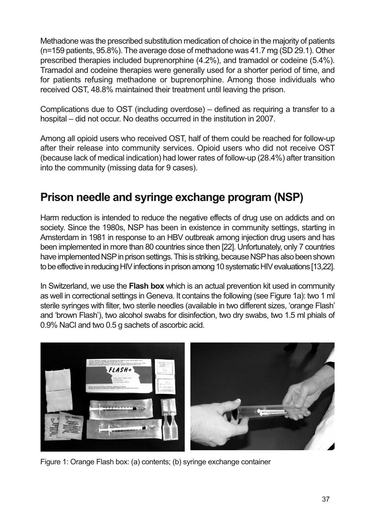Methadone was the prescribed substitution medication of choice in the majority of patients (n=159 patients, 95.8%). The average dose of methadone was 41.7 mg (SD 29.1). Other prescribed therapies included buprenorphine (4.2%), and tramadol or codeine (5.4%). Tramadol and codeine therapies were generally used for a shorter period of time, and for patients refusing methadone or buprenorphine. Among those individuals who received OST, 48.8% maintained their treatment until leaving the prison.

Complications due to OST (including overdose) – defined as requiring a transfer to a hospital – did not occur. No deaths occurred in the institution in 2007.

Among all opioid users who received OST, half of them could be reached for follow-up after their release into community services. Opioid users who did not receive OST (because lack of medical indication) had lower rates of follow-up (28.4%) after transition into the community (missing data for 9 cases).

# **Prison needle and syringe exchange program (NSP)**

Harm reduction is intended to reduce the negative effects of drug use on addicts and on society. Since the 1980s, NSP has been in existence in community settings, starting in Amsterdam in 1981 in response to an HBV outbreak among injection drug users and has been implemented in more than 80 countries since then [22]. Unfortunately, only 7 countries have implemented NSP in prison settings. This is striking, because NSP has also been shown to be effective in reducing HIV infections in prison among 10 systematic HIV evaluations [13,22].

In Switzerland, we use the **Flash box** which is an actual prevention kit used in community as well in correctional settings in Geneva. It contains the following (see Figure 1a): two 1 ml sterile syringes with filter, two sterile needles (available in two different sizes, 'orange Flash' and 'brown Flash'), two alcohol swabs for disinfection, two dry swabs, two 1.5 ml phials of 0.9% NaCl and two 0.5 g sachets of ascorbic acid.



Figure 1: Orange Flash box: (a) contents; (b) syringe exchange container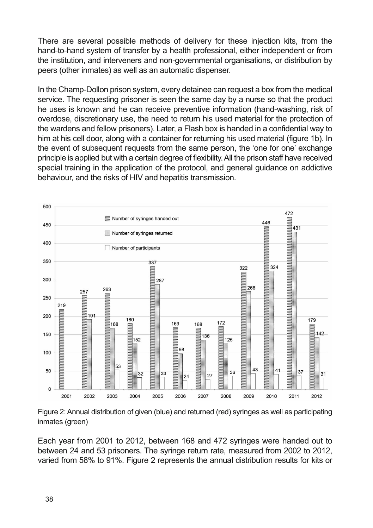There are several possible methods of delivery for these injection kits, from the hand-to-hand system of transfer by a health professional, either independent or from the institution, and interveners and non-governmental organisations, or distribution by peers (other inmates) as well as an automatic dispenser.

In the Champ-Dollon prison system, every detainee can request a box from the medical service. The requesting prisoner is seen the same day by a nurse so that the product he uses is known and he can receive preventive information (hand-washing, risk of overdose, discretionary use, the need to return his used material for the protection of the wardens and fellow prisoners). Later, a Flash box is handed in a confidential way to him at his cell door, along with a container for returning his used material (figure 1b). In the event of subsequent requests from the same person, the 'one for one' exchange principle is applied but with a certain degree of flexibility. All the prison staff have received special training in the application of the protocol, and general guidance on addictive behaviour, and the risks of HIV and hepatitis transmission.



Figure 2: Annual distribution of given (blue) and returned (red) syringes as well as participating inmates (green)

Each year from 2001 to 2012, between 168 and 472 syringes were handed out to between 24 and 53 prisoners. The syringe return rate, measured from 2002 to 2012, varied from 58% to 91%. Figure 2 represents the annual distribution results for kits or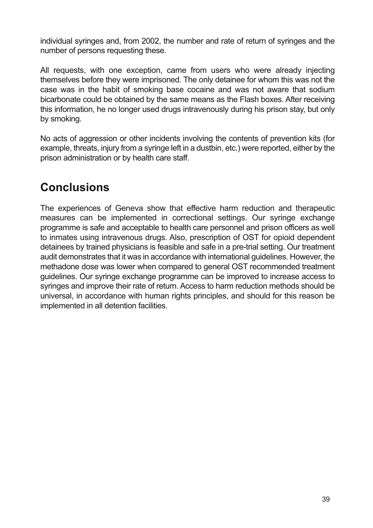individual syringes and, from 2002, the number and rate of return of syringes and the number of persons requesting these.

All requests, with one exception, came from users who were already injecting themselves before they were imprisoned. The only detainee for whom this was not the case was in the habit of smoking base cocaine and was not aware that sodium bicarbonate could be obtained by the same means as the Flash boxes. After receiving this information, he no longer used drugs intravenously during his prison stay, but only by smoking.

No acts of aggression or other incidents involving the contents of prevention kits (for example, threats, injury from a syringe left in a dustbin, etc.) were reported, either by the prison administration or by health care staff.

## **Conclusions**

The experiences of Geneva show that effective harm reduction and therapeutic measures can be implemented in correctional settings. Our syringe exchange programme is safe and acceptable to health care personnel and prison officers as well to inmates using intravenous drugs. Also, prescription of OST for opioid dependent detainees by trained physicians is feasible and safe in a pre-trial setting. Our treatment audit demonstrates that it was in accordance with international guidelines. However, the methadone dose was lower when compared to general OST recommended treatment guidelines. Our syringe exchange programme can be improved to increase access to syringes and improve their rate of return. Access to harm reduction methods should be universal, in accordance with human rights principles, and should for this reason be implemented in all detention facilities.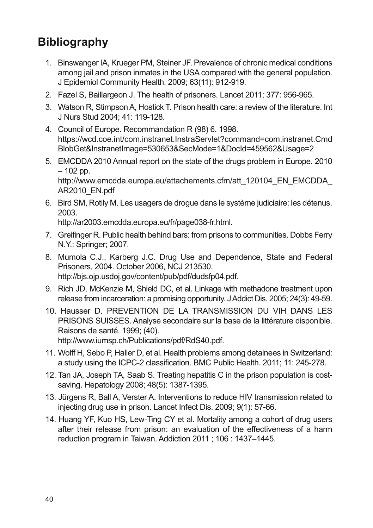## **Bibliography**

- 1. Binswanger IA, Krueger PM, Steiner JF. Prevalence of chronic medical conditions among jail and prison inmates in the USA compared with the general population. J Epidemiol Community Health. 2009; 63(11): 912-919.
- 2. Fazel S, Baillargeon J. The health of prisoners. Lancet 2011; 377: 956-965.
- 3. Watson R, Stimpson A, Hostick T. Prison health care: a review of the literature. Int J Nurs Stud 2004; 41: 119-128.
- 4. Council of Europe. Recommandation R (98) 6. 1998. https://wcd.coe.int/com.instranet.InstraServlet?command=com.instranet.Cmd BlobGet&InstranetImage=530653&SecMode=1&DocId=459562&Usage=2
- 5. EMCDDA 2010 Annual report on the state of the drugs problem in Europe. 2010  $-102$  pp.

http://www.emcdda.europa.eu/attachements.cfm/att\_120104\_EN\_EMCDDA\_ AR2010\_EN.pdf

6. Bird SM, Rotily M. Les usagers de drogue dans le système judiciaire: les détenus. 2003.

http://ar2003.emcdda.europa.eu/fr/page038-fr.html.

- 7. Greifinger R. Public health behind bars: from prisons to communities. Dobbs Ferry N.Y.: Springer; 2007.
- 8. Mumola C.J., Karberg J.C. Drug Use and Dependence, State and Federal Prisoners, 2004. October 2006, NCJ 213530. http://bjs.ojp.usdoj.gov/content/pub/pdf/dudsfp04.pdf.
- 9. Rich JD, McKenzie M, Shield DC, et al. Linkage with methadone treatment upon release from incarceration: a promising opportunity. J Addict Dis. 2005; 24(3): 49-59.
- 10. Hausser D. PREVENTION DE LA TRANSMISSION DU VIH DANS LES PRISONS SUISSES. Analyse secondaire sur la base de la littérature disponible. Raisons de santé. 1999; (40). http://www.iumsp.ch/Publications/pdf/RdS40.pdf.
- 11. Wolff H, Sebo P, Haller D, et al. Health problems among detainees in Switzerland: a study using the ICPC-2 classification. BMC Public Health. 2011; 11: 245-278.
- 12. Tan JA, Joseph TA, Saab S. Treating hepatitis C in the prison population is costsaving. Hepatology 2008; 48(5): 1387-1395.
- 13. Jürgens R, Ball A, Verster A. Interventions to reduce HIV transmission related to injecting drug use in prison. Lancet Infect Dis. 2009; 9(1): 57-66.
- 14. Huang YF, Kuo HS, Lew-Ting CY et al. Mortality among a cohort of drug users after their release from prison: an evaluation of the effectiveness of a harm reduction program in Taiwan. Addiction 2011 ; 106 : 1437–1445.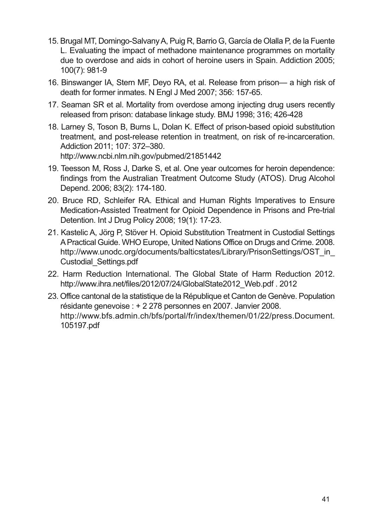- 15. Brugal MT, Domingo-Salvany A, Puig R, Barrio G, García de Olalla P, de la Fuente L. Evaluating the impact of methadone maintenance programmes on mortality due to overdose and aids in cohort of heroine users in Spain. Addiction 2005; 100(7): 981-9
- 16. Binswanger IA, Stern MF, Deyo RA, et al. Release from prison— a high risk of death for former inmates. N Engl J Med 2007; 356: 157-65.
- 17. Seaman SR et al. Mortality from overdose among injecting drug users recently released from prison: database linkage study. BMJ 1998; 316; 426-428
- 18. Larney S, Toson B, Burns L, Dolan K. Effect of prison-based opioid substitution treatment, and post-release retention in treatment, on risk of re-incarceration. Addiction 2011; 107: 372–380. http://www.ncbi.nlm.nih.gov/pubmed/21851442
- 19. Teesson M, Ross J, Darke S, et al. One year outcomes for heroin dependence: findings from the Australian Treatment Outcome Study (ATOS). Drug Alcohol Depend. 2006; 83(2): 174-180.
- 20. Bruce RD, Schleifer RA. Ethical and Human Rights Imperatives to Ensure Medication-Assisted Treatment for Opioid Dependence in Prisons and Pre-trial Detention. Int J Drug Policy 2008; 19(1): 17-23.
- 21. Kastelic A, Jörg P, Stöver H. Opioid Substitution Treatment in Custodial Settings A Practical Guide. WHO Europe, United Nations Office on Drugs and Crime. 2008. http://www.unodc.org/documents/balticstates/Library/PrisonSettings/OST\_in Custodial\_Settings.pdf
- 22. Harm Reduction International. The Global State of Harm Reduction 2012. http://www.ihra.net/files/2012/07/24/GlobalState2012\_Web.pdf . 2012
- 23. Office cantonal de la statistique de la République et Canton de Genève. Population résidante genevoise : + 2 278 personnes en 2007. Janvier 2008. http://www.bfs.admin.ch/bfs/portal/fr/index/themen/01/22/press.Document. 105197.pdf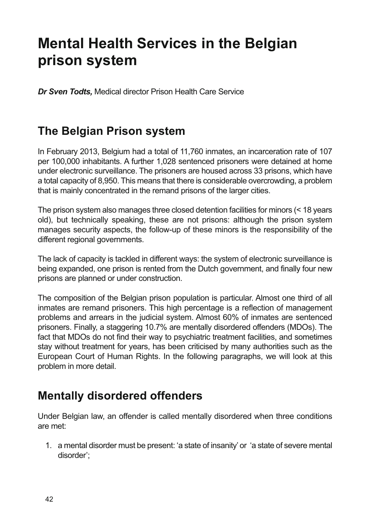# **Mental Health Services in the Belgian prison system**

*Dr Sven Todts,* Medical director Prison Health Care Service

## **The Belgian Prison system**

In February 2013, Belgium had a total of 11,760 inmates, an incarceration rate of 107 per 100,000 inhabitants. A further 1,028 sentenced prisoners were detained at home under electronic surveillance. The prisoners are housed across 33 prisons, which have a total capacity of 8,950. This means that there is considerable overcrowding, a problem that is mainly concentrated in the remand prisons of the larger cities.

The prison system also manages three closed detention facilities for minors (< 18 years old), but technically speaking, these are not prisons: although the prison system manages security aspects, the follow-up of these minors is the responsibility of the different regional governments.

The lack of capacity is tackled in different ways: the system of electronic surveillance is being expanded, one prison is rented from the Dutch government, and finally four new prisons are planned or under construction.

The composition of the Belgian prison population is particular. Almost one third of all inmates are remand prisoners. This high percentage is a reflection of management problems and arrears in the judicial system. Almost 60% of inmates are sentenced prisoners. Finally, a staggering 10.7% are mentally disordered offenders (MDOs). The fact that MDOs do not find their way to psychiatric treatment facilities, and sometimes stay without treatment for years, has been criticised by many authorities such as the European Court of Human Rights. In the following paragraphs, we will look at this problem in more detail.

## **Mentally disordered offenders**

Under Belgian law, an offender is called mentally disordered when three conditions are met:

1. a mental disorder must be present: 'a state of insanity' or 'a state of severe mental disorder';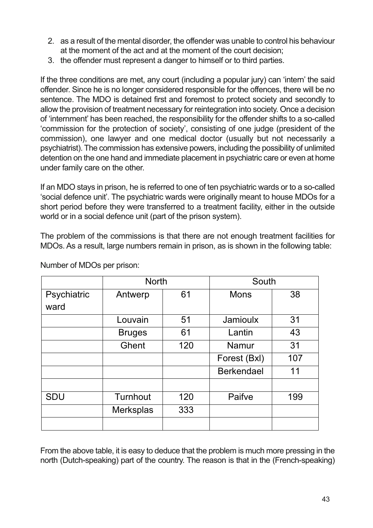- 2. as a result of the mental disorder, the offender was unable to control his behaviour at the moment of the act and at the moment of the court decision;
- 3. the offender must represent a danger to himself or to third parties.

If the three conditions are met, any court (including a popular jury) can 'intern' the said offender. Since he is no longer considered responsible for the offences, there will be no sentence. The MDO is detained first and foremost to protect society and secondly to allow the provision of treatment necessary for reintegration into society. Once a decision of 'internment' has been reached, the responsibility for the offender shifts to a so-called 'commission for the protection of society', consisting of one judge (president of the commission), one lawyer and one medical doctor (usually but not necessarily a psychiatrist). The commission has extensive powers, including the possibility of unlimited detention on the one hand and immediate placement in psychiatric care or even at home under family care on the other.

If an MDO stays in prison, he is referred to one of ten psychiatric wards or to a so-called 'social defence unit'. The psychiatric wards were originally meant to house MDOs for a short period before they were transferred to a treatment facility, either in the outside world or in a social defence unit (part of the prison system).

The problem of the commissions is that there are not enough treatment facilities for MDOs. As a result, large numbers remain in prison, as is shown in the following table:

|             | <b>North</b>  |     | South             |     |
|-------------|---------------|-----|-------------------|-----|
| Psychiatric | Antwerp       | 61  | Mons              | 38  |
| ward        |               |     |                   |     |
|             | Louvain       | 51  | Jamioulx          | 31  |
|             | <b>Bruges</b> | 61  | Lantin            | 43  |
|             | Ghent         | 120 | Namur             | 31  |
|             |               |     | Forest (Bxl)      | 107 |
|             |               |     | <b>Berkendael</b> | 11  |
|             |               |     |                   |     |
| SDU         | Turnhout      | 120 | Paifve            | 199 |
|             | Merksplas     | 333 |                   |     |
|             |               |     |                   |     |

Number of MDOs per prison:

From the above table, it is easy to deduce that the problem is much more pressing in the north (Dutch-speaking) part of the country. The reason is that in the (French-speaking)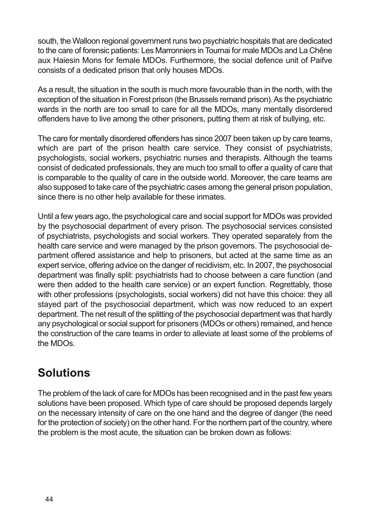south, the Walloon regional government runs two psychiatric hospitals that are dedicated to the care of forensic patients: Les Marronniers in Tournai for male MDOs and La Chêne aux Haiesin Mons for female MDOs. Furthermore, the social defence unit of Paifve consists of a dedicated prison that only houses MDOs.

As a result, the situation in the south is much more favourable than in the north, with the exception of the situation in Forest prison (the Brussels remand prison). As the psychiatric wards in the north are too small to care for all the MDOs, many mentally disordered offenders have to live among the other prisoners, putting them at risk of bullying, etc.

The care for mentally disordered offenders has since 2007 been taken up by care teams, which are part of the prison health care service. They consist of psychiatrists, psychologists, social workers, psychiatric nurses and therapists. Although the teams consist of dedicated professionals, they are much too small to offer a quality of care that is comparable to the quality of care in the outside world. Moreover, the care teams are also supposed to take care of the psychiatric cases among the general prison population, since there is no other help available for these inmates.

Until a few years ago, the psychological care and social support for MDOs was provided by the psychosocial department of every prison. The psychosocial services consisted of psychiatrists, psychologists and social workers. They operated separately from the health care service and were managed by the prison governors. The psychosocial department offered assistance and help to prisoners, but acted at the same time as an expert service, offering advice on the danger of recidivism, etc. In 2007, the psychosocial department was finally split: psychiatrists had to choose between a care function (and were then added to the health care service) or an expert function. Regrettably, those with other professions (psychologists, social workers) did not have this choice: they all stayed part of the psychosocial department, which was now reduced to an expert department. The net result of the splitting of the psychosocial department was that hardly any psychological or social support for prisoners (MDOs or others) remained, and hence the construction of the care teams in order to alleviate at least some of the problems of the MDOs.

## **Solutions**

The problem of the lack of care for MDOs has been recognised and in the past few years solutions have been proposed. Which type of care should be proposed depends largely on the necessary intensity of care on the one hand and the degree of danger (the need for the protection of society) on the other hand. For the northern part of the country, where the problem is the most acute, the situation can be broken down as follows: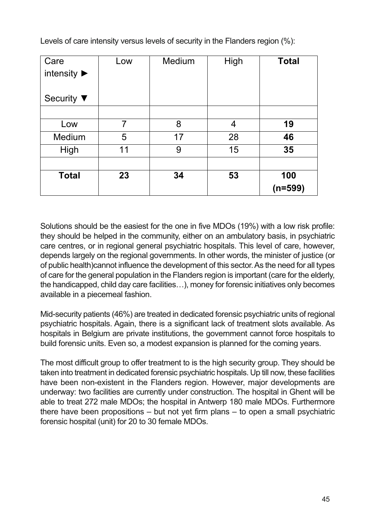| Care                            | Low | Medium | High | <b>Total</b> |
|---------------------------------|-----|--------|------|--------------|
| intensity $\blacktriangleright$ |     |        |      |              |
| Security $\blacktriangledown$   |     |        |      |              |
|                                 |     |        |      |              |
| Low                             | 7   | 8      | 4    | 19           |
| Medium                          | 5   | 17     | 28   | 46           |
| High                            | 11  | 9      | 15   | 35           |
|                                 |     |        |      |              |
| <b>Total</b>                    | 23  | 34     | 53   | 100          |
|                                 |     |        |      | $(n=599)$    |

Levels of care intensity versus levels of security in the Flanders region (%):

Solutions should be the easiest for the one in five MDOs (19%) with a low risk profile: they should be helped in the community, either on an ambulatory basis, in psychiatric care centres, or in regional general psychiatric hospitals. This level of care, however, depends largely on the regional governments. In other words, the minister of justice (or of public health)cannot influence the development of this sector. As the need for all types of care for the general population in the Flanders region is important (care for the elderly, the handicapped, child day care facilities…), money for forensic initiatives only becomes available in a piecemeal fashion.

Mid-security patients (46%) are treated in dedicated forensic psychiatric units of regional psychiatric hospitals. Again, there is a significant lack of treatment slots available. As hospitals in Belgium are private institutions, the government cannot force hospitals to build forensic units. Even so, a modest expansion is planned for the coming years.

The most difficult group to offer treatment to is the high security group. They should be taken into treatment in dedicated forensic psychiatric hospitals. Up till now, these facilities have been non-existent in the Flanders region. However, major developments are underway: two facilities are currently under construction. The hospital in Ghent will be able to treat 272 male MDOs; the hospital in Antwerp 180 male MDOs. Furthermore there have been propositions – but not yet firm plans – to open a small psychiatric forensic hospital (unit) for 20 to 30 female MDOs.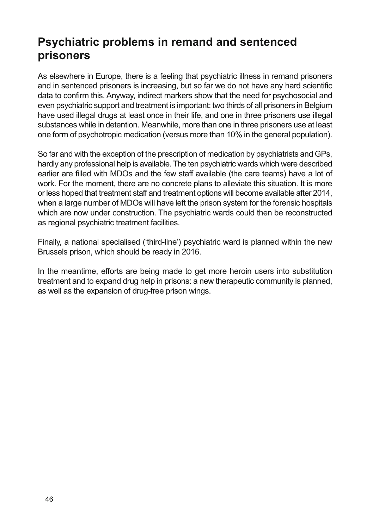## **Psychiatric problems in remand and sentenced prisoners**

As elsewhere in Europe, there is a feeling that psychiatric illness in remand prisoners and in sentenced prisoners is increasing, but so far we do not have any hard scientific data to confirm this. Anyway, indirect markers show that the need for psychosocial and even psychiatric support and treatment is important: two thirds of all prisoners in Belgium have used illegal drugs at least once in their life, and one in three prisoners use illegal substances while in detention. Meanwhile, more than one in three prisoners use at least one form of psychotropic medication (versus more than 10% in the general population).

So far and with the exception of the prescription of medication by psychiatrists and GPs, hardly any professional help is available. The ten psychiatric wards which were described earlier are filled with MDOs and the few staff available (the care teams) have a lot of work. For the moment, there are no concrete plans to alleviate this situation. It is more or less hoped that treatment staff and treatment options will become available after 2014, when a large number of MDOs will have left the prison system for the forensic hospitals which are now under construction. The psychiatric wards could then be reconstructed as regional psychiatric treatment facilities.

Finally, a national specialised ('third-line') psychiatric ward is planned within the new Brussels prison, which should be ready in 2016.

In the meantime, efforts are being made to get more heroin users into substitution treatment and to expand drug help in prisons: a new therapeutic community is planned, as well as the expansion of drug-free prison wings.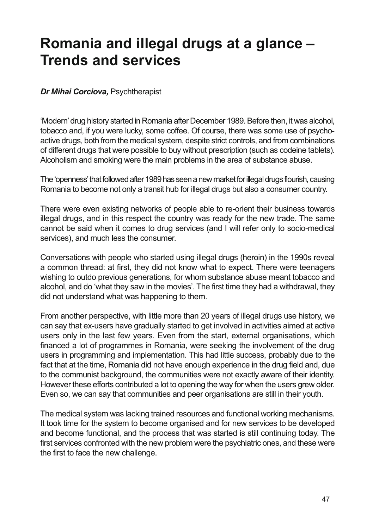# **Romania and illegal drugs at a glance – Trends and services**

#### *Dr Mihai Corciova, Psychtherapist*

'Modern' drug history started in Romania after December 1989. Before then, it was alcohol, tobacco and, if you were lucky, some coffee. Of course, there was some use of psychoactive drugs, both from the medical system, despite strict controls, and from combinations of different drugs that were possible to buy without prescription (such as codeine tablets). Alcoholism and smoking were the main problems in the area of substance abuse.

The 'openness' that followed after 1989 has seen a new market for illegal drugs flourish, causing Romania to become not only a transit hub for illegal drugs but also a consumer country.

There were even existing networks of people able to re-orient their business towards illegal drugs, and in this respect the country was ready for the new trade. The same cannot be said when it comes to drug services (and I will refer only to socio-medical services), and much less the consumer.

Conversations with people who started using illegal drugs (heroin) in the 1990s reveal a common thread: at first, they did not know what to expect. There were teenagers wishing to outdo previous generations, for whom substance abuse meant tobacco and alcohol, and do 'what they saw in the movies'. The first time they had a withdrawal, they did not understand what was happening to them.

From another perspective, with little more than 20 years of illegal drugs use history, we can say that ex-users have gradually started to get involved in activities aimed at active users only in the last few years. Even from the start, external organisations, which financed a lot of programmes in Romania, were seeking the involvement of the drug users in programming and implementation. This had little success, probably due to the fact that at the time, Romania did not have enough experience in the drug field and, due to the communist background, the communities were not exactly aware of their identity. However these efforts contributed a lot to opening the way for when the users grew older. Even so, we can say that communities and peer organisations are still in their youth.

The medical system was lacking trained resources and functional working mechanisms. It took time for the system to become organised and for new services to be developed and become functional, and the process that was started is still continuing today. The first services confronted with the new problem were the psychiatric ones, and these were the first to face the new challenge.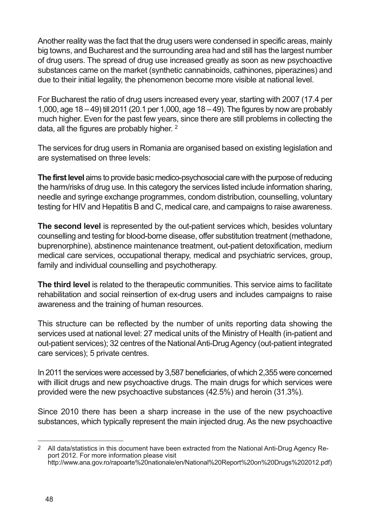Another reality was the fact that the drug users were condensed in specific areas, mainly big towns, and Bucharest and the surrounding area had and still has the largest number of drug users. The spread of drug use increased greatly as soon as new psychoactive substances came on the market (synthetic cannabinoids, cathinones, piperazines) and due to their initial legality, the phenomenon become more visible at national level.

For Bucharest the ratio of drug users increased every year, starting with 2007 (17.4 per 1,000, age  $18 - 49$ ) till 2011 (20.1 per 1,000, age  $18 - 49$ ). The figures by now are probably much higher. Even for the past few years, since there are still problems in collecting the data, all the figures are probably higher. <sup>2</sup>

The services for drug users in Romania are organised based on existing legislation and are systematised on three levels:

**The first level** aims to provide basic medico-psychosocial care with the purpose of reducing the harm/risks of drug use. In this category the services listed include information sharing, needle and syringe exchange programmes, condom distribution, counselling, voluntary testing for HIV and Hepatitis B and C, medical care, and campaigns to raise awareness.

**The second level** is represented by the out-patient services which, besides voluntary counselling and testing for blood-borne disease, offer substitution treatment (methadone, buprenorphine), abstinence maintenance treatment, out-patient detoxification, medium medical care services, occupational therapy, medical and psychiatric services, group, family and individual counselling and psychotherapy.

**The third level** is related to the therapeutic communities. This service aims to facilitate rehabilitation and social reinsertion of ex-drug users and includes campaigns to raise awareness and the training of human resources.

This structure can be reflected by the number of units reporting data showing the services used at national level: 27 medical units of the Ministry of Health (in-patient and out-patient services); 32 centres of the National Anti-Drug Agency (out-patient integrated care services); 5 private centres.

In 2011 the services were accessed by 3,587 beneficiaries, of which 2,355 were concerned with illicit drugs and new psychoactive drugs. The main drugs for which services were provided were the new psychoactive substances (42.5%) and heroin (31.3%).

Since 2010 there has been a sharp increase in the use of the new psychoactive substances, which typically represent the main injected drug. As the new psychoactive

<sup>2</sup> All data/statistics in this document have been extracted from the National Anti-Drug Agency Report 2012. For more information please visit http://www.ana.gov.ro/rapoarte%20nationale/en/National%20Report%20on%20Drugs%202012.pdf)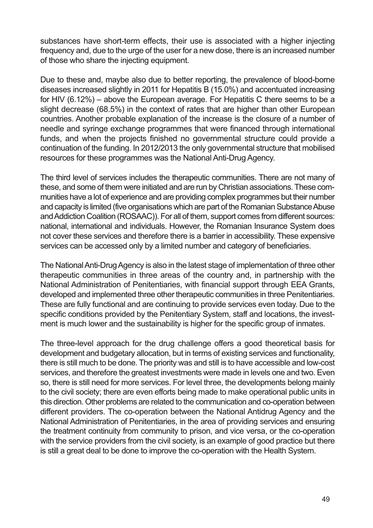substances have short-term effects, their use is associated with a higher injecting frequency and, due to the urge of the user for a new dose, there is an increased number of those who share the injecting equipment.

Due to these and, maybe also due to better reporting, the prevalence of blood-borne diseases increased slightly in 2011 for Hepatitis B (15.0%) and accentuated increasing for HIV (6.12%) – above the European average. For Hepatitis C there seems to be a slight decrease (68.5%) in the context of rates that are higher than other European countries. Another probable explanation of the increase is the closure of a number of needle and syringe exchange programmes that were financed through international funds, and when the projects finished no governmental structure could provide a continuation of the funding. In 2012/2013 the only governmental structure that mobilised resources for these programmes was the National Anti-Drug Agency.

The third level of services includes the therapeutic communities. There are not many of these, and some of them were initiated and are run by Christian associations. These communities have a lot of experience and are providing complex programmes but their number and capacity is limited (five organisations which are part of the Romanian Substance Abuse and Addiction Coalition (ROSAAC)). For all of them, support comes from different sources: national, international and individuals. However, the Romanian Insurance System does not cover these services and therefore there is a barrier in accessibility. These expensive services can be accessed only by a limited number and category of beneficiaries.

The National Anti-Drug Agency is also in the latest stage of implementation of three other therapeutic communities in three areas of the country and, in partnership with the National Administration of Penitentiaries, with financial support through EEA Grants, developed and implemented three other therapeutic communities in three Penitentiaries. These are fully functional and are continuing to provide services even today. Due to the specific conditions provided by the Penitentiary System, staff and locations, the investment is much lower and the sustainability is higher for the specific group of inmates.

The three-level approach for the drug challenge offers a good theoretical basis for development and budgetary allocation, but in terms of existing services and functionality, there is still much to be done. The priority was and still is to have accessible and low-cost services, and therefore the greatest investments were made in levels one and two. Even so, there is still need for more services. For level three, the developments belong mainly to the civil society; there are even efforts being made to make operational public units in this direction. Other problems are related to the communication and co-operation between different providers. The co-operation between the National Antidrug Agency and the National Administration of Penitentiaries, in the area of providing services and ensuring the treatment continuity from community to prison, and vice versa, or the co-operation with the service providers from the civil society, is an example of good practice but there is still a great deal to be done to improve the co-operation with the Health System.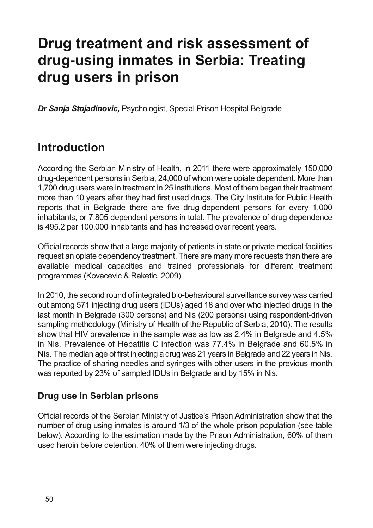# **Drug treatment and risk assessment of drug-using inmates in Serbia: Treating drug users in prison**

*Dr Sanja Stojadinovic, Psychologist, Special Prison Hospital Belgrade* 

### **Introduction**

According the Serbian Ministry of Health, in 2011 there were approximately 150,000 drug-dependent persons in Serbia, 24,000 of whom were opiate dependent. More than 1,700 drug users were in treatment in 25 institutions. Most of them began their treatment more than 10 years after they had first used drugs. The City Institute for Public Health reports that in Belgrade there are five drug-dependent persons for every 1,000 inhabitants, or 7,805 dependent persons in total. The prevalence of drug dependence is 495.2 per 100,000 inhabitants and has increased over recent years.

Official records show that a large majority of patients in state or private medical facilities request an opiate dependency treatment. There are many more requests than there are available medical capacities and trained professionals for different treatment programmes (Kovacevic & Raketic, 2009).

In 2010, the second round of integrated bio-behavioural surveillance survey was carried out among 571 injecting drug users (IDUs) aged 18 and over who injected drugs in the last month in Belgrade (300 persons) and Nis (200 persons) using respondent-driven sampling methodology (Ministry of Health of the Republic of Serbia, 2010). The results show that HIV prevalence in the sample was as low as 2.4% in Belgrade and 4.5% in Nis. Prevalence of Hepatitis C infection was 77.4% in Belgrade and 60.5% in Nis. The median age of first injecting a drug was 21 years in Belgrade and 22 years in Nis. The practice of sharing needles and syringes with other users in the previous month was reported by 23% of sampled IDUs in Belgrade and by 15% in Nis.

### **Drug use in Serbian prisons**

Official records of the Serbian Ministry of Justice's Prison Administration show that the number of drug using inmates is around 1/3 of the whole prison population (see table below). According to the estimation made by the Prison Administration, 60% of them used heroin before detention, 40% of them were injecting drugs.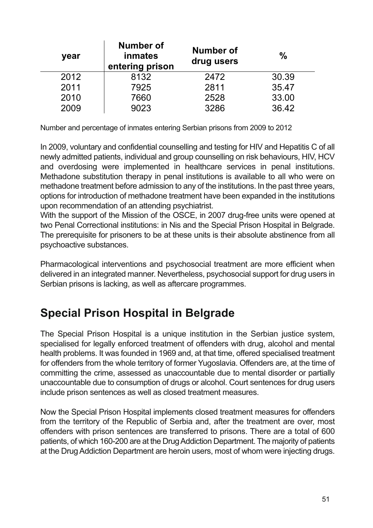| year | Number of<br>inmates<br>entering prison | Number of<br>drug users | %     |
|------|-----------------------------------------|-------------------------|-------|
| 2012 | 8132                                    | 2472                    | 30.39 |
| 2011 | 7925                                    | 2811                    | 35.47 |
| 2010 | 7660                                    | 2528                    | 33.00 |
| 2009 | 9023                                    | 3286                    | 36.42 |

Number and percentage of inmates entering Serbian prisons from 2009 to 2012

In 2009, voluntary and confidential counselling and testing for HIV and Hepatitis C of all newly admitted patients, individual and group counselling on risk behaviours, HIV, HCV and overdosing were implemented in healthcare services in penal institutions. Methadone substitution therapy in penal institutions is available to all who were on methadone treatment before admission to any of the institutions. In the past three years, options for introduction of methadone treatment have been expanded in the institutions upon recommendation of an attending psychiatrist.

With the support of the Mission of the OSCE, in 2007 drug-free units were opened at two Penal Correctional institutions: in Nis and the Special Prison Hospital in Belgrade. The prerequisite for prisoners to be at these units is their absolute abstinence from all psychoactive substances.

Pharmacological interventions and psychosocial treatment are more efficient when delivered in an integrated manner. Nevertheless, psychosocial support for drug users in Serbian prisons is lacking, as well as aftercare programmes.

## **Special Prison Hospital in Belgrade**

The Special Prison Hospital is a unique institution in the Serbian justice system, specialised for legally enforced treatment of offenders with drug, alcohol and mental health problems. It was founded in 1969 and, at that time, offered specialised treatment for offenders from the whole territory of former Yugoslavia. Offenders are, at the time of committing the crime, assessed as unaccountable due to mental disorder or partially unaccountable due to consumption of drugs or alcohol. Court sentences for drug users include prison sentences as well as closed treatment measures.

Now the Special Prison Hospital implements closed treatment measures for offenders from the territory of the Republic of Serbia and, after the treatment are over, most offenders with prison sentences are transferred to prisons. There are a total of 600 patients, of which 160-200 are at the Drug Addiction Department. The majority of patients at the Drug Addiction Department are heroin users, most of whom were injecting drugs.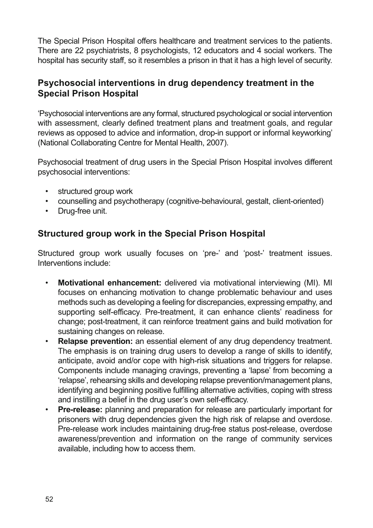The Special Prison Hospital offers healthcare and treatment services to the patients. There are 22 psychiatrists, 8 psychologists, 12 educators and 4 social workers. The hospital has security staff, so it resembles a prison in that it has a high level of security.

### **Psychosocial interventions in drug dependency treatment in the Special Prison Hospital**

'Psychosocial interventions are any formal, structured psychological or social intervention with assessment, clearly defined treatment plans and treatment goals, and regular reviews as opposed to advice and information, drop-in support or informal keyworking' (National Collaborating Centre for Mental Health, 2007).

Psychosocial treatment of drug users in the Special Prison Hospital involves different psychosocial interventions:

- structured group work
- counselling and psychotherapy (cognitive-behavioural, gestalt, client-oriented)
- Drug-free unit.

### **Structured group work in the Special Prison Hospital**

Structured group work usually focuses on 'pre-' and 'post-' treatment issues. Interventions include:

- **Motivational enhancement:** delivered via motivational interviewing (MI). MI focuses on enhancing motivation to change problematic behaviour and uses methods such as developing a feeling for discrepancies, expressing empathy, and supporting self-efficacy. Pre-treatment, it can enhance clients' readiness for change; post-treatment, it can reinforce treatment gains and build motivation for sustaining changes on release.
- **Relapse prevention:** an essential element of any drug dependency treatment. The emphasis is on training drug users to develop a range of skills to identify, anticipate, avoid and/or cope with high-risk situations and triggers for relapse. Components include managing cravings, preventing a 'lapse' from becoming a 'relapse', rehearsing skills and developing relapse prevention/management plans, identifying and beginning positive fulfilling alternative activities, coping with stress and instilling a belief in the drug user's own self-efficacy.
- **Pre-release:** planning and preparation for release are particularly important for prisoners with drug dependencies given the high risk of relapse and overdose. Pre-release work includes maintaining drug-free status post-release, overdose awareness/prevention and information on the range of community services available, including how to access them.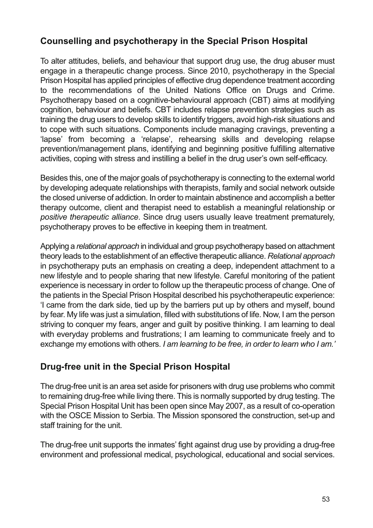### **Counselling and psychotherapy in the Special Prison Hospital**

To alter attitudes, beliefs, and behaviour that support drug use, the drug abuser must engage in a therapeutic change process. Since 2010, psychotherapy in the Special Prison Hospital has applied principles of effective drug dependence treatment according to the recommendations of the United Nations Office on Drugs and Crime. Psychotherapy based on a cognitive-behavioural approach (CBT) aims at modifying cognition, behaviour and beliefs. CBT includes relapse prevention strategies such as training the drug users to develop skills to identify triggers, avoid high-risk situations and to cope with such situations. Components include managing cravings, preventing a 'lapse' from becoming a 'relapse', rehearsing skills and developing relapse prevention/management plans, identifying and beginning positive fulfilling alternative activities, coping with stress and instilling a belief in the drug user's own self-efficacy.

Besides this, one of the major goals of psychotherapy is connecting to the external world by developing adequate relationships with therapists, family and social network outside the closed universe of addiction. In order to maintain abstinence and accomplish a better therapy outcome, client and therapist need to establish a meaningful relationship or *positive therapeutic alliance*. Since drug users usually leave treatment prematurely, psychotherapy proves to be effective in keeping them in treatment.

Applying a *relational approach* in individual and group psychotherapy based on attachment theory leads to the establishment of an effective therapeutic alliance. *Relational approach* in psychotherapy puts an emphasis on creating a deep, independent attachment to a new lifestyle and to people sharing that new lifestyle. Careful monitoring of the patient experience is necessary in order to follow up the therapeutic process of change. One of the patients in the Special Prison Hospital described his psychotherapeutic experience: 'I came from the dark side, tied up by the barriers put up by others and myself, bound by fear. My life was just a simulation, filled with substitutions of life. Now, I am the person striving to conquer my fears, anger and guilt by positive thinking. I am learning to deal with everyday problems and frustrations; I am learning to communicate freely and to exchange my emotions with others. *I am learning to be free, in order to learn who I am.'* 

### **Drug-free unit in the Special Prison Hospital**

The drug-free unit is an area set aside for prisoners with drug use problems who commit to remaining drug-free while living there. This is normally supported by drug testing. The Special Prison Hospital Unit has been open since May 2007, as a result of co-operation with the OSCE Mission to Serbia. The Mission sponsored the construction, set-up and staff training for the unit.

The drug-free unit supports the inmates' fight against drug use by providing a drug-free environment and professional medical, psychological, educational and social services.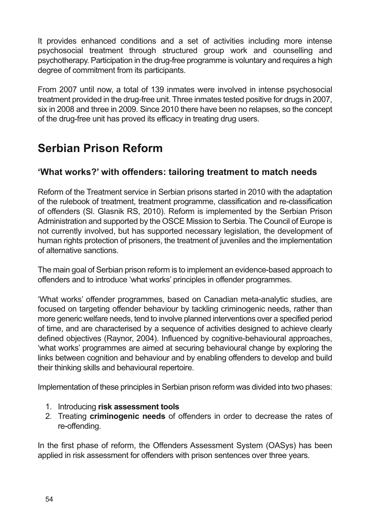It provides enhanced conditions and a set of activities including more intense psychosocial treatment through structured group work and counselling and psychotherapy. Participation in the drug-free programme is voluntary and requires a high degree of commitment from its participants.

From 2007 until now, a total of 139 inmates were involved in intense psychosocial treatment provided in the drug-free unit. Three inmates tested positive for drugs in 2007, six in 2008 and three in 2009. Since 2010 there have been no relapses, so the concept of the drug-free unit has proved its efficacy in treating drug users.

## **Serbian Prison Reform**

### **'What works?' with offenders: tailoring treatment to match needs**

Reform of the Treatment service in Serbian prisons started in 2010 with the adaptation of the rulebook of treatment, treatment programme, classification and re-classification of offenders (Sl. Glasnik RS, 2010). Reform is implemented by the Serbian Prison Administration and supported by the OSCE Mission to Serbia. The Council of Europe is not currently involved, but has supported necessary legislation, the development of human rights protection of prisoners, the treatment of juveniles and the implementation of alternative sanctions.

The main goal of Serbian prison reform is to implement an evidence-based approach to offenders and to introduce 'what works' principles in offender programmes.

'What works' offender programmes, based on Canadian meta-analytic studies, are focused on targeting offender behaviour by tackling criminogenic needs, rather than more generic welfare needs, tend to involve planned interventions over a specified period of time, and are characterised by a sequence of activities designed to achieve clearly defined objectives (Raynor, 2004). Influenced by cognitive-behavioural approaches, 'what works' programmes are aimed at securing behavioural change by exploring the links between cognition and behaviour and by enabling offenders to develop and build their thinking skills and behavioural repertoire.

Implementation of these principles in Serbian prison reform was divided into two phases:

- 1. Introducing **risk assessment tools**
- 2. Treating **criminogenic needs** of offenders in order to decrease the rates of re-offending.

In the first phase of reform, the Offenders Assessment System (OASys) has been applied in risk assessment for offenders with prison sentences over three years.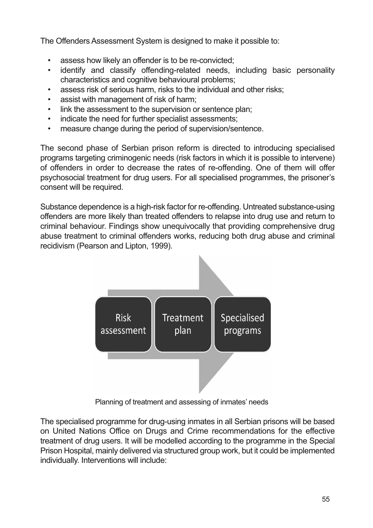The Offenders Assessment System is designed to make it possible to:

- assess how likely an offender is to be re-convicted;
- identify and classify offending-related needs, including basic personality characteristics and cognitive behavioural problems;
- assess risk of serious harm, risks to the individual and other risks;
- assist with management of risk of harm;
- link the assessment to the supervision or sentence plan:
- indicate the need for further specialist assessments:
- measure change during the period of supervision/sentence.

The second phase of Serbian prison reform is directed to introducing specialised programs targeting criminogenic needs (risk factors in which it is possible to intervene) of offenders in order to decrease the rates of re-offending. One of them will offer psychosocial treatment for drug users. For all specialised programmes, the prisoner's consent will be required.

Substance dependence is a high-risk factor for re-offending. Untreated substance-using offenders are more likely than treated offenders to relapse into drug use and return to criminal behaviour. Findings show unequivocally that providing comprehensive drug abuse treatment to criminal offenders works, reducing both drug abuse and criminal recidivism (Pearson and Lipton, 1999).



Planning of treatment and assessing of inmates' needs

The specialised programme for drug-using inmates in all Serbian prisons will be based on United Nations Office on Drugs and Crime recommendations for the effective treatment of drug users. It will be modelled according to the programme in the Special Prison Hospital, mainly delivered via structured group work, but it could be implemented individually. Interventions will include: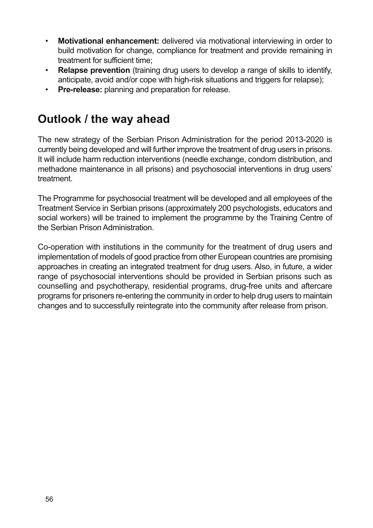- **Motivational enhancement:** delivered via motivational interviewing in order to build motivation for change, compliance for treatment and provide remaining in treatment for sufficient time;
- **Relapse prevention** (training drug users to develop a range of skills to identify, anticipate, avoid and/or cope with high-risk situations and triggers for relapse);
- **Pre-release:** planning and preparation for release.

## **Outlook / the way ahead**

The new strategy of the Serbian Prison Administration for the period 2013-2020 is currently being developed and will further improve the treatment of drug users in prisons. It will include harm reduction interventions (needle exchange, condom distribution, and methadone maintenance in all prisons) and psychosocial interventions in drug users' treatment.

The Programme for psychosocial treatment will be developed and all employees of the Treatment Service in Serbian prisons (approximately 200 psychologists, educators and social workers) will be trained to implement the programme by the Training Centre of the Serbian Prison Administration.

Co-operation with institutions in the community for the treatment of drug users and implementation of models of good practice from other European countries are promising approaches in creating an integrated treatment for drug users. Also, in future, a wider range of psychosocial interventions should be provided in Serbian prisons such as counselling and psychotherapy, residential programs, drug-free units and aftercare programs for prisoners re-entering the community in order to help drug users to maintain changes and to successfully reintegrate into the community after release from prison.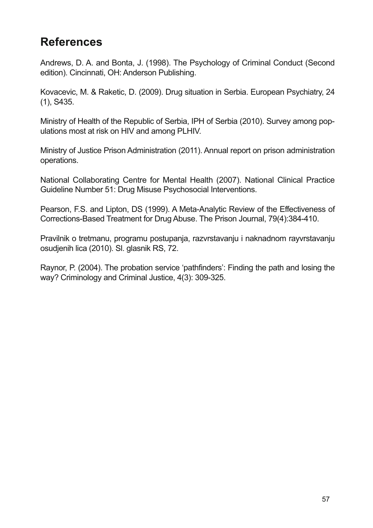## **References**

Andrews, D. A. and Bonta, J. (1998). The Psychology of Criminal Conduct (Second edition). Cincinnati, OH: Anderson Publishing.

Kovacevic, M. & Raketic, D. (2009). Drug situation in Serbia. European Psychiatry, 24 (1), S435.

Ministry of Health of the Republic of Serbia, IPH of Serbia (2010). Survey among populations most at risk on HIV and among PLHIV.

Ministry of Justice Prison Administration (2011). Annual report on prison administration operations.

National Collaborating Centre for Mental Health (2007). National Clinical Practice Guideline Number 51: Drug Misuse Psychosocial Interventions.

Pearson, F.S. and Lipton, DS (1999). A Meta-Analytic Review of the Effectiveness of Corrections-Based Treatment for Drug Abuse. The Prison Journal, 79(4):384-410.

Pravilnik o tretmanu, programu postupanja, razvrstavanju i naknadnom rayvrstavanju osudjenih lica (2010). Sl. glasnik RS, 72.

Raynor, P. (2004). The probation service 'pathfinders': Finding the path and losing the way? Criminology and Criminal Justice, 4(3): 309-325.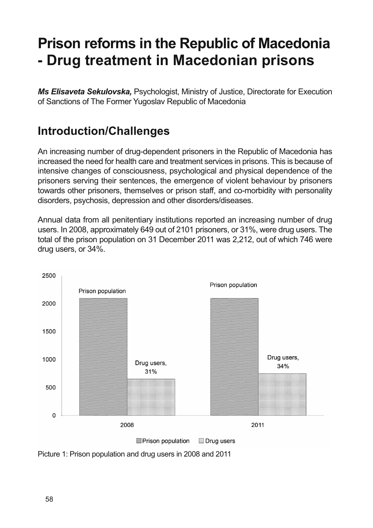# **Prison reforms in the Republic of Macedonia - Drug treatment in Macedonian prisons**

*Ms Elisaveta Sekulovska,* Psychologist, Ministry of Justice, Directorate for Execution of Sanctions of The Former Yugoslav Republic of Macedonia

## **Introduction/Challenges**

An increasing number of drug-dependent prisoners in the Republic of Macedonia has increased the need for health care and treatment services in prisons. This is because of intensive changes of consciousness, psychological and physical dependence of the prisoners serving their sentences, the emergence of violent behaviour by prisoners towards other prisoners, themselves or prison staff, and co-morbidity with personality disorders, psychosis, depression and other disorders/diseases.

Annual data from all penitentiary institutions reported an increasing number of drug users. In 2008, approximately 649 out of 2101 prisoners, or 31%, were drug users. The total of the prison population on 31 December 2011 was 2,212, out of which 746 were drug users, or 34%.



Picture 1: Prison population and drug users in 2008 and 2011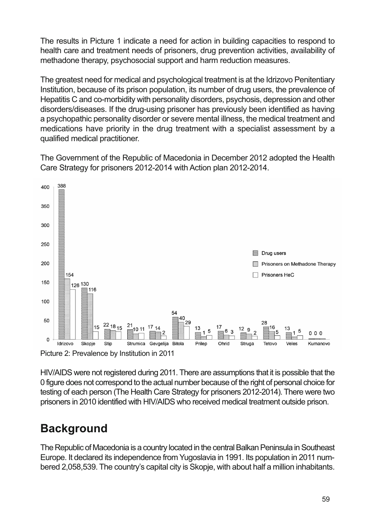The results in Picture 1 indicate a need for action in building capacities to respond to health care and treatment needs of prisoners, drug prevention activities, availability of methadone therapy, psychosocial support and harm reduction measures.

The greatest need for medical and psychological treatment is at the Idrizovo Penitentiary Institution, because of its prison population, its number of drug users, the prevalence of Hepatitis C and co-morbidity with personality disorders, psychosis, depression and other disorders/diseases. If the drug-using prisoner has previously been identified as having a psychopathic personality disorder or severe mental illness, the medical treatment and medications have priority in the drug treatment with a specialist assessment by a qualified medical practitioner.

The Government of the Republic of Macedonia in December 2012 adopted the Health Care Strategy for prisoners 2012-2014 with Action plan 2012-2014.



HIV/AIDS were not registered during 2011. There are assumptions that it is possible that the 0 figure does not correspond to the actual number because of the right of personal choice for testing of each person (The Health Care Strategy for prisoners 2012-2014). There were two prisoners in 2010 identified with HIV/AIDS who received medical treatment outside prison.

## **Background**

The Republic of Macedonia is a country located in the central Balkan Peninsula in Southeast Europe. It declared its independence from Yugoslavia in 1991. Its population in 2011 numbered 2,058,539. The country's capital city is Skopje, with about half a million inhabitants.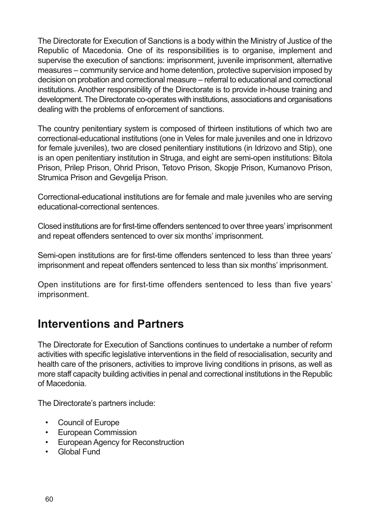The Directorate for Execution of Sanctions is a body within the Ministry of Justice of the Republic of Macedonia. One of its responsibilities is to organise, implement and supervise the execution of sanctions: imprisonment, juvenile imprisonment, alternative measures – community service and home detention, protective supervision imposed by decision on probation and correctional measure – referral to educational and correctional institutions. Another responsibility of the Directorate is to provide in-house training and development. The Directorate co-operates with institutions, associations and organisations dealing with the problems of enforcement of sanctions.

The country penitentiary system is composed of thirteen institutions of which two are correctional-educational institutions (one in Veles for male juveniles and one in Idrizovo for female juveniles), two are closed penitentiary institutions (in Idrizovo and Stip), one is an open penitentiary institution in Struga, and eight are semi-open institutions: Bitola Prison, Prilep Prison, Ohrid Prison, Tetovo Prison, Skopje Prison, Kumanovo Prison, Strumica Prison and Gevgelija Prison.

Correctional-educational institutions are for female and male juveniles who are serving educational-correctional sentences.

Closed institutions are for first-time offenders sentenced to over three years' imprisonment and repeat offenders sentenced to over six months' imprisonment.

Semi-open institutions are for first-time offenders sentenced to less than three years' imprisonment and repeat offenders sentenced to less than six months' imprisonment.

Open institutions are for first-time offenders sentenced to less than five years' imprisonment.

### **Interventions and Partners**

The Directorate for Execution of Sanctions continues to undertake a number of reform activities with specific legislative interventions in the field of resocialisation, security and health care of the prisoners, activities to improve living conditions in prisons, as well as more staff capacity building activities in penal and correctional institutions in the Republic of Macedonia.

The Directorate's partners include:

- Council of Europe
- European Commission
- European Agency for Reconstruction
- Global Fund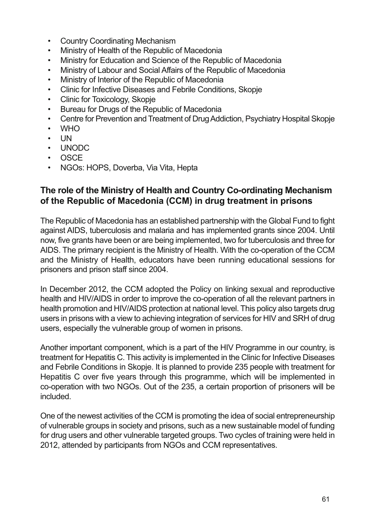- Country Coordinating Mechanism
- Ministry of Health of the Republic of Macedonia
- Ministry for Education and Science of the Republic of Macedonia
- Ministry of Labour and Social Affairs of the Republic of Macedonia
- Ministry of Interior of the Republic of Macedonia
- Clinic for Infective Diseases and Febrile Conditions, Skopje
- Clinic for Toxicology, Skopie
- Bureau for Drugs of the Republic of Macedonia
- Centre for Prevention and Treatment of Drug Addiction, Psychiatry Hospital Skopje
- WHO
- UN
- UNODC
- OSCE
- NGOs: HOPS, Doverba, Via Vita, Hepta

#### **The role of the Ministry of Health and Country Co-ordinating Mechanism of the Republic of Macedonia (CCM) in drug treatment in prisons**

The Republic of Macedonia has an established partnership with the Global Fund to fight against AIDS, tuberculosis and malaria and has implemented grants since 2004. Until now, five grants have been or are being implemented, two for tuberculosis and three for AIDS. The primary recipient is the Ministry of Health. With the co-operation of the CCM and the Ministry of Health, educators have been running educational sessions for prisoners and prison staff since 2004.

In December 2012, the CCM adopted the Policy on linking sexual and reproductive health and HIV/AIDS in order to improve the co-operation of all the relevant partners in health promotion and HIV/AIDS protection at national level. This policy also targets drug users in prisons with a view to achieving integration of services for HIV and SRH of drug users, especially the vulnerable group of women in prisons.

Another important component, which is a part of the HIV Programme in our country, is treatment for Hepatitis C. This activity is implemented in the Clinic for Infective Diseases and Febrile Conditions in Skopie. It is planned to provide 235 people with treatment for Hepatitis C over five years through this programme, which will be implemented in co-operation with two NGOs. Out of the 235, a certain proportion of prisoners will be included.

One of the newest activities of the CCM is promoting the idea of social entrepreneurship of vulnerable groups in society and prisons, such as a new sustainable model of funding for drug users and other vulnerable targeted groups. Two cycles of training were held in 2012, attended by participants from NGOs and CCM representatives.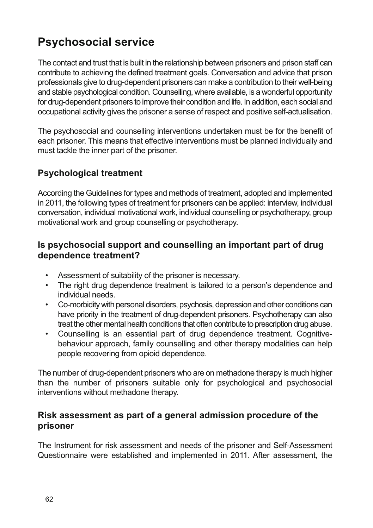## **Psychosocial service**

The contact and trust that is built in the relationship between prisoners and prison staff can contribute to achieving the defined treatment goals. Conversation and advice that prison professionals give to drug-dependent prisoners can make a contribution to their well-being and stable psychological condition. Counselling, where available, is a wonderful opportunity for drug-dependent prisoners to improve their condition and life. In addition, each social and occupational activity gives the prisoner a sense of respect and positive self-actualisation.

The psychosocial and counselling interventions undertaken must be for the benefit of each prisoner. This means that effective interventions must be planned individually and must tackle the inner part of the prisoner.

### **Psychological treatment**

According the Guidelines for types and methods of treatment, adopted and implemented in 2011, the following types of treatment for prisoners can be applied: interview, individual conversation, individual motivational work, individual counselling or psychotherapy, group motivational work and group counselling or psychotherapy.

### **Is psychosocial support and counselling an important part of drug dependence treatment?**

- Assessment of suitability of the prisoner is necessary.
- The right drug dependence treatment is tailored to a person's dependence and individual needs.
- Co-morbidity with personal disorders, psychosis, depression and other conditions can have priority in the treatment of drug-dependent prisoners. Psychotherapy can also treat the other mental health conditions that often contribute to prescription drug abuse.
- Counselling is an essential part of drug dependence treatment. Cognitivebehaviour approach, family counselling and other therapy modalities can help people recovering from opioid dependence.

The number of drug-dependent prisoners who are on methadone therapy is much higher than the number of prisoners suitable only for psychological and psychosocial interventions without methadone therapy.

### **Risk assessment as part of a general admission procedure of the prisoner**

The Instrument for risk assessment and needs of the prisoner and Self-Assessment Questionnaire were established and implemented in 2011. After assessment, the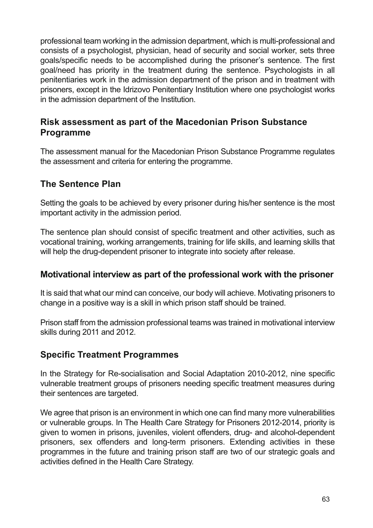professional team working in the admission department, which is multi-professional and consists of a psychologist, physician, head of security and social worker, sets three goals/specific needs to be accomplished during the prisoner's sentence. The first goal/need has priority in the treatment during the sentence. Psychologists in all penitentiaries work in the admission department of the prison and in treatment with prisoners, except in the Idrizovo Penitentiary Institution where one psychologist works in the admission department of the Institution.

### **Risk assessment as part of the Macedonian Prison Substance Programme**

The assessment manual for the Macedonian Prison Substance Programme regulates the assessment and criteria for entering the programme.

### **The Sentence Plan**

Setting the goals to be achieved by every prisoner during his/her sentence is the most important activity in the admission period.

The sentence plan should consist of specific treatment and other activities, such as vocational training, working arrangements, training for life skills, and learning skills that will help the drug-dependent prisoner to integrate into society after release.

#### **Motivational interview as part of the professional work with the prisoner**

It is said that what our mind can conceive, our body will achieve. Motivating prisoners to change in a positive way is a skill in which prison staff should be trained.

Prison staff from the admission professional teams was trained in motivational interview skills during 2011 and 2012.

#### **Specific Treatment Programmes**

In the Strategy for Re-socialisation and Social Adaptation 2010-2012, nine specific vulnerable treatment groups of prisoners needing specific treatment measures during their sentences are targeted.

We agree that prison is an environment in which one can find many more vulnerabilities or vulnerable groups. In The Health Care Strategy for Prisoners 2012-2014, priority is given to women in prisons, juveniles, violent offenders, drug- and alcohol-dependent prisoners, sex offenders and long-term prisoners. Extending activities in these programmes in the future and training prison staff are two of our strategic goals and activities defined in the Health Care Strategy.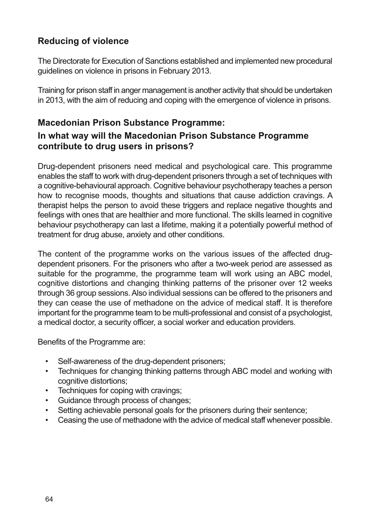### **Reducing of violence**

The Directorate for Execution of Sanctions established and implemented new procedural guidelines on violence in prisons in February 2013.

Training for prison staff in anger management is another activity that should be undertaken in 2013, with the aim of reducing and coping with the emergence of violence in prisons.

### **Macedonian Prison Substance Programme:**

### **In what way will the Macedonian Prison Substance Programme contribute to drug users in prisons?**

Drug-dependent prisoners need medical and psychological care. This programme enables the staff to work with drug-dependent prisoners through a set of techniques with a cognitive-behavioural approach. Cognitive behaviour psychotherapy teaches a person how to recognise moods, thoughts and situations that cause addiction cravings. A therapist helps the person to avoid these triggers and replace negative thoughts and feelings with ones that are healthier and more functional. The skills learned in cognitive behaviour psychotherapy can last a lifetime, making it a potentially powerful method of treatment for drug abuse, anxiety and other conditions.

The content of the programme works on the various issues of the affected drugdependent prisoners. For the prisoners who after a two-week period are assessed as suitable for the programme, the programme team will work using an ABC model, cognitive distortions and changing thinking patterns of the prisoner over 12 weeks through 36 group sessions. Also individual sessions can be offered to the prisoners and they can cease the use of methadone on the advice of medical staff. It is therefore important for the programme team to be multi-professional and consist of a psychologist, a medical doctor, a security officer, a social worker and education providers.

Benefits of the Programme are:

- Self-awareness of the drug-dependent prisoners;
- Techniques for changing thinking patterns through ABC model and working with cognitive distortions;
- Techniques for coping with cravings;
- Guidance through process of changes;
- Setting achievable personal goals for the prisoners during their sentence;
- Ceasing the use of methadone with the advice of medical staff whenever possible.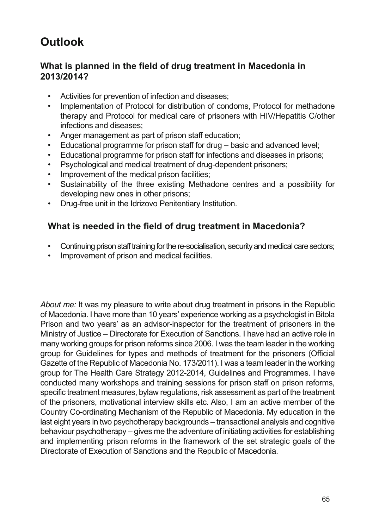## **Outlook**

#### **What is planned in the field of drug treatment in Macedonia in 2013/2014?**

- Activities for prevention of infection and diseases;
- Implementation of Protocol for distribution of condoms, Protocol for methadone therapy and Protocol for medical care of prisoners with HIV/Hepatitis C/other infections and diseases;
- Anger management as part of prison staff education;
- Educational programme for prison staff for drug basic and advanced level;
- Educational programme for prison staff for infections and diseases in prisons;
- Psychological and medical treatment of drug-dependent prisoners;
- Improvement of the medical prison facilities:
- Sustainability of the three existing Methadone centres and a possibility for developing new ones in other prisons;
- Drug-free unit in the Idrizovo Penitentiary Institution.

### **What is needed in the field of drug treatment in Macedonia?**

- Continuing prison staff training for the re-socialisation, security and medical care sectors;
- Improvement of prison and medical facilities.

*About me:* It was my pleasure to write about drug treatment in prisons in the Republic of Macedonia. I have more than 10 years' experience working as a psychologist in Bitola Prison and two years' as an advisor-inspector for the treatment of prisoners in the Ministry of Justice – Directorate for Execution of Sanctions. I have had an active role in many working groups for prison reforms since 2006. I was the team leader in the working group for Guidelines for types and methods of treatment for the prisoners (Official Gazette of the Republic of Macedonia No. 173/2011). I was a team leader in the working group for The Health Care Strategy 2012-2014, Guidelines and Programmes. I have conducted many workshops and training sessions for prison staff on prison reforms, specific treatment measures, bylaw regulations, risk assessment as part of the treatment of the prisoners, motivational interview skills etc. Also, I am an active member of the Country Co-ordinating Mechanism of the Republic of Macedonia. My education in the last eight years in two psychotherapy backgrounds – transactional analysis and cognitive behaviour psychotherapy – gives me the adventure of initiating activities for establishing and implementing prison reforms in the framework of the set strategic goals of the Directorate of Execution of Sanctions and the Republic of Macedonia.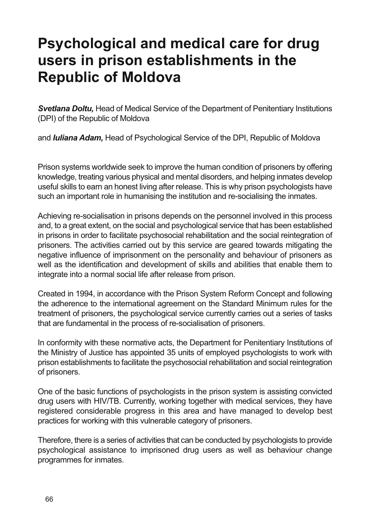# **Psychological and medical care for drug users in prison establishments in the Republic of Moldova**

**Svetlana Doltu.** Head of Medical Service of the Department of Penitentiary Institutions (DPI) of the Republic of Moldova

and *Iuliana Adam,* Head of Psychological Service of the DPI, Republic of Moldova

Prison systems worldwide seek to improve the human condition of prisoners by offering knowledge, treating various physical and mental disorders, and helping inmates develop useful skills to earn an honest living after release. This is why prison psychologists have such an important role in humanising the institution and re-socialising the inmates.

Achieving re-socialisation in prisons depends on the personnel involved in this process and, to a great extent, on the social and psychological service that has been established in prisons in order to facilitate psychosocial rehabilitation and the social reintegration of prisoners. The activities carried out by this service are geared towards mitigating the negative influence of imprisonment on the personality and behaviour of prisoners as well as the identification and development of skills and abilities that enable them to integrate into a normal social life after release from prison.

Created in 1994, in accordance with the Prison System Reform Concept and following the adherence to the international agreement on the Standard Minimum rules for the treatment of prisoners, the psychological service currently carries out a series of tasks that are fundamental in the process of re-socialisation of prisoners.

In conformity with these normative acts, the Department for Penitentiary Institutions of the Ministry of Justice has appointed 35 units of employed psychologists to work with prison establishments to facilitate the psychosocial rehabilitation and social reintegration of prisoners.

One of the basic functions of psychologists in the prison system is assisting convicted drug users with HIV/TB. Currently, working together with medical services, they have registered considerable progress in this area and have managed to develop best practices for working with this vulnerable category of prisoners.

Therefore, there is a series of activities that can be conducted by psychologists to provide psychological assistance to imprisoned drug users as well as behaviour change programmes for inmates.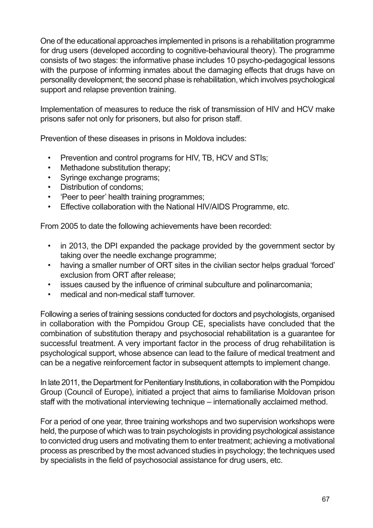One of the educational approaches implemented in prisons is a rehabilitation programme for drug users (developed according to cognitive-behavioural theory). The programme consists of two stages: the informative phase includes 10 psycho-pedagogical lessons with the purpose of informing inmates about the damaging effects that drugs have on personality development; the second phase is rehabilitation, which involves psychological support and relapse prevention training.

Implementation of measures to reduce the risk of transmission of HIV and HCV make prisons safer not only for prisoners, but also for prison staff.

Prevention of these diseases in prisons in Moldova includes:

- Prevention and control programs for HIV, TB, HCV and STIs;
- Methadone substitution therapy;
- Syringe exchange programs:
- Distribution of condoms:
- 'Peer to peer' health training programmes;
- Effective collaboration with the National HIV/AIDS Programme, etc.

From 2005 to date the following achievements have been recorded:

- in 2013, the DPI expanded the package provided by the government sector by taking over the needle exchange programme;
- having a smaller number of ORT sites in the civilian sector helps gradual 'forced' exclusion from ORT after release;
- issues caused by the influence of criminal subculture and polinarcomania;
- medical and non-medical staff turnover.

Following a series of training sessions conducted for doctors and psychologists, organised in collaboration with the Pompidou Group CE, specialists have concluded that the combination of substitution therapy and psychosocial rehabilitation is a guarantee for successful treatment. A very important factor in the process of drug rehabilitation is psychological support, whose absence can lead to the failure of medical treatment and can be a negative reinforcement factor in subsequent attempts to implement change.

In late 2011, the Department for Penitentiary Institutions, in collaboration with the Pompidou Group (Council of Europe), initiated a project that aims to familiarise Moldovan prison staff with the motivational interviewing technique – internationally acclaimed method.

For a period of one year, three training workshops and two supervision workshops were held, the purpose of which was to train psychologists in providing psychological assistance to convicted drug users and motivating them to enter treatment; achieving a motivational process as prescribed by the most advanced studies in psychology; the techniques used by specialists in the field of psychosocial assistance for drug users, etc.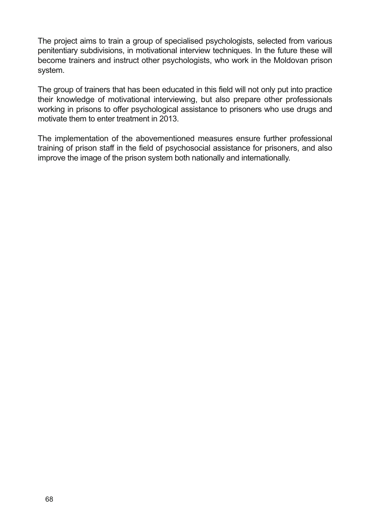The project aims to train a group of specialised psychologists, selected from various penitentiary subdivisions, in motivational interview techniques. In the future these will become trainers and instruct other psychologists, who work in the Moldovan prison system.

The group of trainers that has been educated in this field will not only put into practice their knowledge of motivational interviewing, but also prepare other professionals working in prisons to offer psychological assistance to prisoners who use drugs and motivate them to enter treatment in 2013.

The implementation of the abovementioned measures ensure further professional training of prison staff in the field of psychosocial assistance for prisoners, and also improve the image of the prison system both nationally and internationally.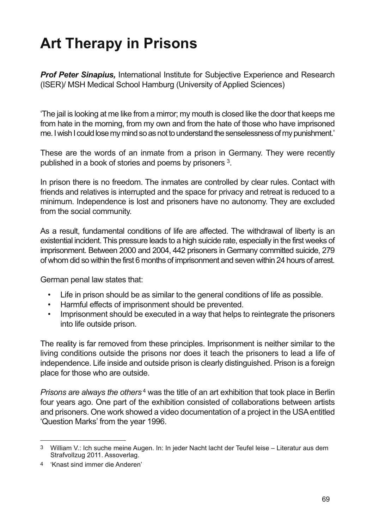# **Art Therapy in Prisons**

*Prof Peter Sinapius.* International Institute for Subjective Experience and Research (ISER)/ MSH Medical School Hamburg (University of Applied Sciences)

'The jail is looking at me like from a mirror; my mouth is closed like the door that keeps me from hate in the morning, from my own and from the hate of those who have imprisoned me. I wish I could lose my mind so as not to understand the senselessness of my punishment.'

These are the words of an inmate from a prison in Germany. They were recently published in a book of stories and poems by prisoners 3.

In prison there is no freedom. The inmates are controlled by clear rules. Contact with friends and relatives is interrupted and the space for privacy and retreat is reduced to a minimum. Independence is lost and prisoners have no autonomy. They are excluded from the social community.

As a result, fundamental conditions of life are affected. The withdrawal of liberty is an existential incident. This pressure leads to a high suicide rate, especially in the first weeks of imprisonment. Between 2000 and 2004, 442 prisoners in Germany committed suicide, 279 of whom did so within the first 6 months of imprisonment and seven within 24 hours of arrest.

German penal law states that:

- Life in prison should be as similar to the general conditions of life as possible.
- Harmful effects of imprisonment should be prevented.
- Imprisonment should be executed in a way that helps to reintegrate the prisoners into life outside prison.

The reality is far removed from these principles. Imprisonment is neither similar to the living conditions outside the prisons nor does it teach the prisoners to lead a life of independence. Life inside and outside prison is clearly distinguished. Prison is a foreign place for those who are outside.

*Prisons are always the others* <sup>4</sup> was the title of an art exhibition that took place in Berlin four years ago. One part of the exhibition consisted of collaborations between artists and prisoners. One work showed a video documentation of a project in the USA entitled 'Question Marks' from the year 1996.

<sup>3</sup> William V.: Ich suche meine Augen. In: In jeder Nacht lacht der Teufel leise – Literatur aus dem Strafvollzug 2011. Assoverlag.

<sup>4</sup> 'Knast sind immer die Anderen'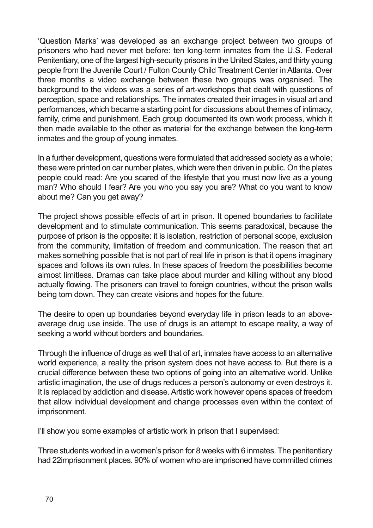'Question Marks' was developed as an exchange project between two groups of prisoners who had never met before: ten long-term inmates from the U.S. Federal Penitentiary, one of the largest high-security prisons in the United States, and thirty young people from the Juvenile Court / Fulton County Child Treatment Center in Atlanta. Over three months a video exchange between these two groups was organised. The background to the videos was a series of art-workshops that dealt with questions of perception, space and relationships. The inmates created their images in visual art and performances, which became a starting point for discussions about themes of intimacy, family, crime and punishment. Each group documented its own work process, which it then made available to the other as material for the exchange between the long-term inmates and the group of young inmates.

In a further development, questions were formulated that addressed society as a whole; these were printed on car number plates, which were then driven in public. On the plates people could read: Are you scared of the lifestyle that you must now live as a young man? Who should I fear? Are you who you say you are? What do you want to know about me? Can you get away?

The project shows possible effects of art in prison. It opened boundaries to facilitate development and to stimulate communication. This seems paradoxical, because the purpose of prison is the opposite: it is isolation, restriction of personal scope, exclusion from the community, limitation of freedom and communication. The reason that art makes something possible that is not part of real life in prison is that it opens imaginary spaces and follows its own rules. In these spaces of freedom the possibilities become almost limitless. Dramas can take place about murder and killing without any blood actually flowing. The prisoners can travel to foreign countries, without the prison walls being torn down. They can create visions and hopes for the future.

The desire to open up boundaries beyond everyday life in prison leads to an aboveaverage drug use inside. The use of drugs is an attempt to escape reality, a way of seeking a world without borders and boundaries.

Through the influence of drugs as well that of art, inmates have access to an alternative world experience, a reality the prison system does not have access to. But there is a crucial difference between these two options of going into an alternative world. Unlike artistic imagination, the use of drugs reduces a person's autonomy or even destroys it. It is replaced by addiction and disease. Artistic work however opens spaces of freedom that allow individual development and change processes even within the context of imprisonment.

I'll show you some examples of artistic work in prison that I supervised:

Three students worked in a women's prison for 8 weeks with 6 inmates. The penitentiary had 22imprisonment places. 90% of women who are imprisoned have committed crimes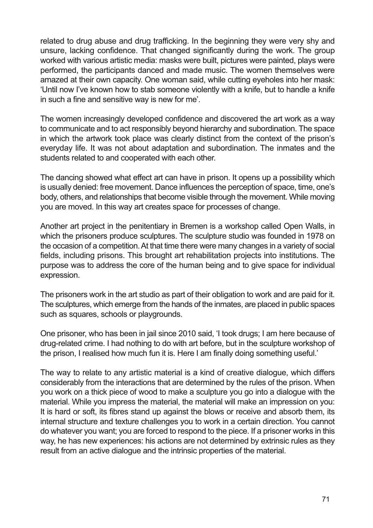related to drug abuse and drug trafficking. In the beginning they were very shy and unsure, lacking confidence. That changed significantly during the work. The group worked with various artistic media: masks were built, pictures were painted, plays were performed, the participants danced and made music. The women themselves were amazed at their own capacity. One woman said, while cutting eyeholes into her mask: 'Until now I've known how to stab someone violently with a knife, but to handle a knife in such a fine and sensitive way is new for me'.

The women increasingly developed confidence and discovered the art work as a way to communicate and to act responsibly beyond hierarchy and subordination. The space in which the artwork took place was clearly distinct from the context of the prison's everyday life. It was not about adaptation and subordination. The inmates and the students related to and cooperated with each other.

The dancing showed what effect art can have in prison. It opens up a possibility which is usually denied: free movement. Dance influences the perception of space, time, one's body, others, and relationships that become visible through the movement. While moving you are moved. In this way art creates space for processes of change.

Another art project in the penitentiary in Bremen is a workshop called Open Walls, in which the prisoners produce sculptures. The sculpture studio was founded in 1978 on the occasion of a competition. At that time there were many changes in a variety of social fields, including prisons. This brought art rehabilitation projects into institutions. The purpose was to address the core of the human being and to give space for individual expression.

The prisoners work in the art studio as part of their obligation to work and are paid for it. The sculptures, which emerge from the hands of the inmates, are placed in public spaces such as squares, schools or playgrounds.

One prisoner, who has been in jail since 2010 said, 'I took drugs; I am here because of drug-related crime. I had nothing to do with art before, but in the sculpture workshop of the prison, I realised how much fun it is. Here I am finally doing something useful.'

The way to relate to any artistic material is a kind of creative dialogue, which differs considerably from the interactions that are determined by the rules of the prison. When you work on a thick piece of wood to make a sculpture you go into a dialogue with the material. While you impress the material, the material will make an impression on you: It is hard or soft, its fibres stand up against the blows or receive and absorb them, its internal structure and texture challenges you to work in a certain direction. You cannot do whatever you want; you are forced to respond to the piece. If a prisoner works in this way, he has new experiences: his actions are not determined by extrinsic rules as they result from an active dialogue and the intrinsic properties of the material.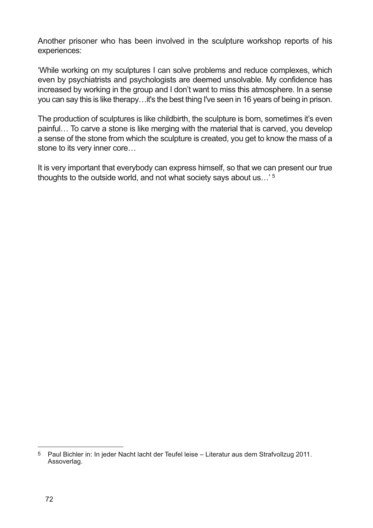Another prisoner who has been involved in the sculpture workshop reports of his experiences:

'While working on my sculptures I can solve problems and reduce complexes, which even by psychiatrists and psychologists are deemed unsolvable. My confidence has increased by working in the group and I don't want to miss this atmosphere. In a sense you can say this is like therapy…it's the best thing I've seen in 16 years of being in prison.

The production of sculptures is like childbirth, the sculpture is born, sometimes it's even painful… To carve a stone is like merging with the material that is carved, you develop a sense of the stone from which the sculpture is created, you get to know the mass of a stone to its very inner core…

It is very important that everybody can express himself, so that we can present our true thoughts to the outside world, and not what society says about us…' 5

<sup>5</sup> Paul Bichler in: In jeder Nacht lacht der Teufel leise – Literatur aus dem Strafvollzug 2011. Assoverlag.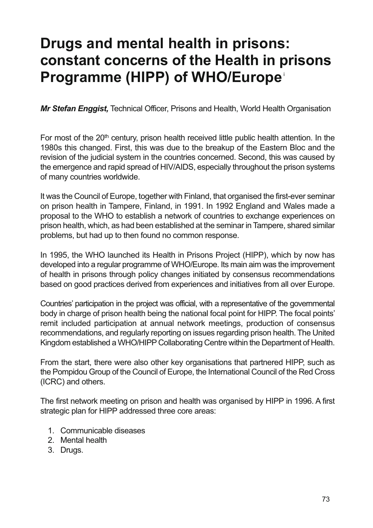# **Drugs and mental health in prisons: constant concerns of the Health in prisons Programme (HIPP) of WHO/Europe**<sup>i</sup>

*Mr Stefan Enggist,* Technical Officer, Prisons and Health, World Health Organisation

For most of the 20th century, prison health received little public health attention. In the 1980s this changed. First, this was due to the breakup of the Eastern Bloc and the revision of the judicial system in the countries concerned. Second, this was caused by the emergence and rapid spread of HIV/AIDS, especially throughout the prison systems of many countries worldwide.

It was the Council of Europe, together with Finland, that organised the first-ever seminar on prison health in Tampere, Finland, in 1991. In 1992 England and Wales made a proposal to the WHO to establish a network of countries to exchange experiences on prison health, which, as had been established at the seminar in Tampere, shared similar problems, but had up to then found no common response.

In 1995, the WHO launched its Health in Prisons Project (HIPP), which by now has developed into a regular programme of WHO/Europe. Its main aim was the improvement of health in prisons through policy changes initiated by consensus recommendations based on good practices derived from experiences and initiatives from all over Europe.

Countries' participation in the project was official, with a representative of the governmental body in charge of prison health being the national focal point for HIPP. The focal points' remit included participation at annual network meetings, production of consensus recommendations, and regularly reporting on issues regarding prison health. The United Kingdom established a WHO/HIPP Collaborating Centre within the Department of Health.

From the start, there were also other key organisations that partnered HIPP, such as the Pompidou Group of the Council of Europe, the International Council of the Red Cross (ICRC) and others.

The first network meeting on prison and health was organised by HIPP in 1996. A first strategic plan for HIPP addressed three core areas:

- 1. Communicable diseases
- 2. Mental health
- 3. Drugs.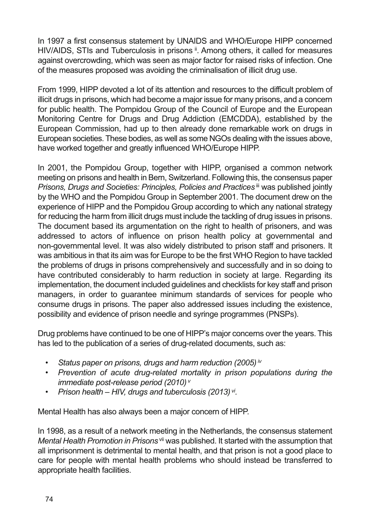In 1997 a first consensus statement by UNAIDS and WHO/Europe HIPP concerned HIV/AIDS, STIs and Tuberculosis in prisons ii, Among others, it called for measures against overcrowding, which was seen as major factor for raised risks of infection. One of the measures proposed was avoiding the criminalisation of illicit drug use.

From 1999, HIPP devoted a lot of its attention and resources to the difficult problem of illicit drugs in prisons, which had become a major issue for many prisons, and a concern for public health. The Pompidou Group of the Council of Europe and the European Monitoring Centre for Drugs and Drug Addiction (EMCDDA), established by the European Commission, had up to then already done remarkable work on drugs in European societies. These bodies, as well as some NGOs dealing with the issues above, have worked together and greatly influenced WHO/Europe HIPP.

In 2001, the Pompidou Group, together with HIPP, organised a common network meeting on prisons and health in Bern, Switzerland. Following this, the consensus paper **Prisons, Drugs and Societies: Principles, Policies and Practices iii was published jointly** by the WHO and the Pompidou Group in September 2001. The document drew on the experience of HIPP and the Pompidou Group according to which any national strategy for reducing the harm from illicit drugs must include the tackling of drug issues in prisons. The document based its argumentation on the right to health of prisoners, and was addressed to actors of influence on prison health policy at governmental and non-governmental level. It was also widely distributed to prison staff and prisoners. It was ambitious in that its aim was for Europe to be the first WHO Region to have tackled the problems of drugs in prisons comprehensively and successfully and in so doing to have contributed considerably to harm reduction in society at large. Regarding its implementation, the document included guidelines and checklists for key staff and prison managers, in order to guarantee minimum standards of services for people who consume drugs in prisons. The paper also addressed issues including the existence, possibility and evidence of prison needle and syringe programmes (PNSPs).

Drug problems have continued to be one of HIPP's major concerns over the years. This has led to the publication of a series of drug-related documents, such as:

- Status paper on prisons, drugs and harm reduction (2005)<sup>iv</sup>
- *Prevention of acute drug-related mortality in prison populations during the immediate post-release period (2010) <sup>v</sup>*
- *Prison health HIV, drugs and tuberculosis (2013) vi.*

Mental Health has also always been a major concern of HIPP.

In 1998, as a result of a network meeting in the Netherlands, the consensus statement *Mental Health Promotion in Prisons*vii was published. It started with the assumption that all imprisonment is detrimental to mental health, and that prison is not a good place to care for people with mental health problems who should instead be transferred to appropriate health facilities.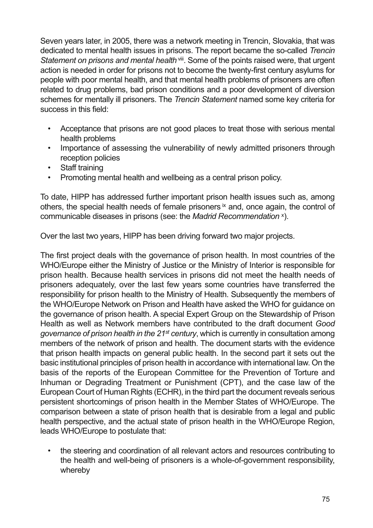Seven years later, in 2005, there was a network meeting in Trencin, Slovakia, that was dedicated to mental health issues in prisons. The report became the so-called *Trencin Statement on prisons and mental health*viii. Some of the points raised were, that urgent action is needed in order for prisons not to become the twenty-first century asylums for people with poor mental health, and that mental health problems of prisoners are often related to drug problems, bad prison conditions and a poor development of diversion schemes for mentally ill prisoners. The *Trencin Statement* named some key criteria for success in this field:

- Acceptance that prisons are not good places to treat those with serious mental health problems
- Importance of assessing the vulnerability of newly admitted prisoners through reception policies
- Staff training
- Promoting mental health and wellbeing as a central prison policy.

To date, HIPP has addressed further important prison health issues such as, among others, the special health needs of female prisoners  $\mathbb{K}$  and, once again, the control of communicable diseases in prisons (see: the *Madrid Recommendation* x).

Over the last two years, HIPP has been driving forward two major projects.

The first project deals with the governance of prison health. In most countries of the WHO/Europe either the Ministry of Justice or the Ministry of Interior is responsible for prison health. Because health services in prisons did not meet the health needs of prisoners adequately, over the last few years some countries have transferred the responsibility for prison health to the Ministry of Health. Subsequently the members of the WHO/Europe Network on Prison and Health have asked the WHO for guidance on the governance of prison health. A special Expert Group on the Stewardship of Prison Health as well as Network members have contributed to the draft document *Good governance of prison health in the 21st century*, which is currently in consultation among members of the network of prison and health. The document starts with the evidence that prison health impacts on general public health. In the second part it sets out the basic institutional principles of prison health in accordance with international law. On the basis of the reports of the European Committee for the Prevention of Torture and Inhuman or Degrading Treatment or Punishment (CPT), and the case law of the European Court of Human Rights (ECHR), in the third part the document reveals serious persistent shortcomings of prison health in the Member States of WHO/Europe. The comparison between a state of prison health that is desirable from a legal and public health perspective, and the actual state of prison health in the WHO/Europe Region, leads WHO/Europe to postulate that:

• the steering and coordination of all relevant actors and resources contributing to the health and well-being of prisoners is a whole-of-government responsibility, whereby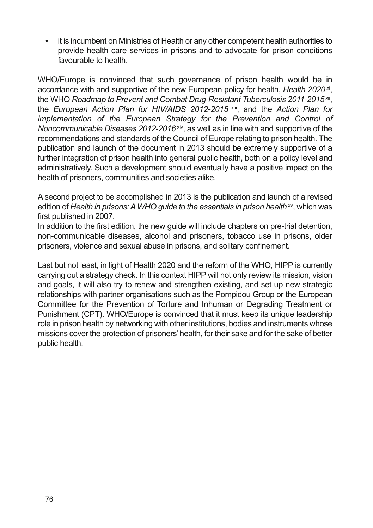• it is incumbent on Ministries of Health or any other competent health authorities to provide health care services in prisons and to advocate for prison conditions favourable to health.

WHO/Europe is convinced that such governance of prison health would be in accordance with and supportive of the new European policy for health, *Health 2020*<sup>xi</sup>, the WHO *Roadmap to Prevent and Combat Drug-Resistant Tuberculosis 2011-2015*xii, the *European Action Plan for HIV/AIDS 2012-2015* xiii, and the *Action Plan for implementation of the European Strategy for the Prevention and Control of Noncommunicable Diseases 2012-2016*xiv, as well as in line with and supportive of the recommendations and standards of the Council of Europe relating to prison health. The publication and launch of the document in 2013 should be extremely supportive of a further integration of prison health into general public health, both on a policy level and administratively. Such a development should eventually have a positive impact on the health of prisoners, communities and societies alike.

A second project to be accomplished in 2013 is the publication and launch of a revised edition of *Health in prisons: A WHO quide to the essentials in prison health*<sup>xv</sup>, which was first published in 2007.

In addition to the first edition, the new guide will include chapters on pre-trial detention, non-communicable diseases, alcohol and prisoners, tobacco use in prisons, older prisoners, violence and sexual abuse in prisons, and solitary confinement.

Last but not least, in light of Health 2020 and the reform of the WHO, HIPP is currently carrying out a strategy check. In this context HIPP will not only review its mission, vision and goals, it will also try to renew and strengthen existing, and set up new strategic relationships with partner organisations such as the Pompidou Group or the European Committee for the Prevention of Torture and Inhuman or Degrading Treatment or Punishment (CPT). WHO/Europe is convinced that it must keep its unique leadership role in prison health by networking with other institutions, bodies and instruments whose missions cover the protection of prisoners' health, for their sake and for the sake of better public health.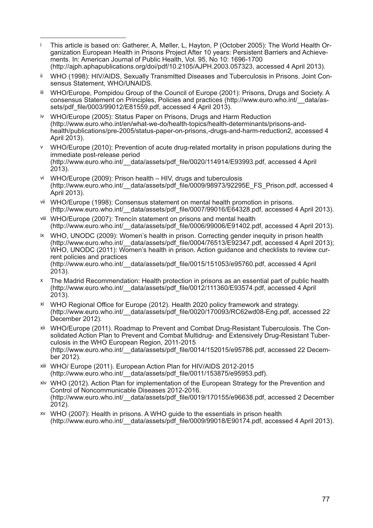- i This article is based on: Gatherer, A, Møller, L, Hayton, P (October 2005): The World Health Organization European Health in Prisons Project After 10 years: Persistent Barriers and Achievements. In: American Journal of Public Health, Vol. 95, No 10: 1696-1700 (http://ajph.aphapublications.org/doi/pdf/10.2105/AJPH.2003.057323, accessed 4 April 2013).
- ii WHO (1998): HIV/AIDS, Sexually Transmitted Diseases and Tuberculosis in Prisons. Joint Consensus Statement, WHO/UNAIDS.
- iii WHO/Europe, Pompidou Group of the Council of Europe (2001): Prisons, Drugs and Society. A consensus Statement on Principles, Policies and practices (http://www.euro.who.int/\_\_data/assets/pdf\_file/0003/99012/E81559.pdf, accessed 4 April 2013).
- iv WHO/Europe (2005): Status Paper on Prisons, Drugs and Harm Reduction (http://www.euro.who.int/en/what-we-do/health-topics/health-determinants/prisons-andhealth/publications/pre-2005/status-paper-on-prisons,-drugs-and-harm-reduction2, accessed 4 April 2013).
- v WHO/Europe (2010): Prevention of acute drug-related mortality in prison populations during the immediate post-release period (http://www.euro.who.int/\_\_data/assets/pdf\_file/0020/114914/E93993.pdf, accessed 4 April 2013).
- vi WHO/Europe (2009): Prison health HIV, drugs and tuberculosis (http://www.euro.who.int/\_\_data/assets/pdf\_file/0009/98973/92295E\_FS\_Prison.pdf, accessed 4 April 2013).
- vii WHO/Europe (1998): Consensus statement on mental health promotion in prisons. (http://www.euro.who.int/\_\_data/assets/pdf\_file/0007/99016/E64328.pdf, accessed 4 April 2013).
- viii WHO/Europe (2007): Trencín statement on prisons and mental health (http://www.euro.who.int/\_\_data/assets/pdf\_file/0006/99006/E91402.pdf, accessed 4 April 2013).
- ix WHO, UNODC (2009): Women's health in prison. Correcting gender inequity in prison health (http://www.euro.who.int/\_\_data/assets/pdf\_file/0004/76513/E92347.pdf, accessed 4 April 2013); WHO, UNODC (2011): Women's health in prison. Action quidance and checklists to review current policies and practices (http://www.euro.who.int/\_\_data/assets/pdf\_file/0015/151053/e95760.pdf, accessed 4 April 2013).
- The Madrid Recommendation: Health protection in prisons as an essential part of public health (http://www.euro.who.int/\_\_data/assets/pdf\_file/0012/111360/E93574.pdf, accessed 4 April 2013).
- xi WHO Regional Office for Europe (2012). Health 2020 policy framework and strategy. (http://www.euro.who.int/\_\_data/assets/pdf\_file/0020/170093/RC62wd08-Eng.pdf, accessed 22 December 2012).
- xii WHO/Europe (2011). Roadmap to Prevent and Combat Drug-Resistant Tuberculosis. The Consolidated Action Plan to Prevent and Combat Multidrug- and Extensively Drug-Resistant Tuberculosis in the WHO European Region, 2011-2015 (http://www.euro.who.int/\_\_data/assets/pdf\_file/0014/152015/e95786.pdf, accessed 22 December 2012).
- xiii WHO/ Europe (2011). European Action Plan for HIV/AIDS 2012-2015 (http://www.euro.who.int/\_\_data/assets/pdf\_file/0011/153875/e95953.pdf).
- xiv WHO (2012). Action Plan for implementation of the European Strategy for the Prevention and Control of Noncommunicable Diseases 2012-2016. (http://www.euro.who.int/\_\_data/assets/pdf\_file/0019/170155/e96638.pdf, accessed 2 December 2012).
- xv WHO (2007): Health in prisons. A WHO guide to the essentials in prison health (http://www.euro.who.int/\_\_data/assets/pdf\_file/0009/99018/E90174.pdf, accessed 4 April 2013).